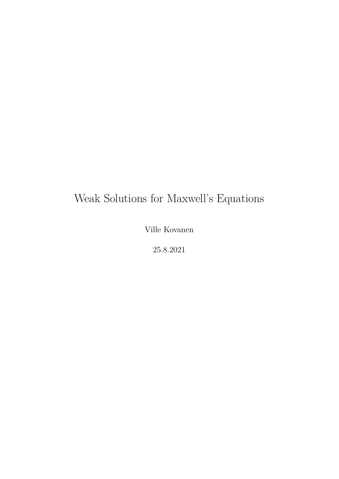# Weak Solutions for Maxwell's Equations

Ville Kovanen

25.8.2021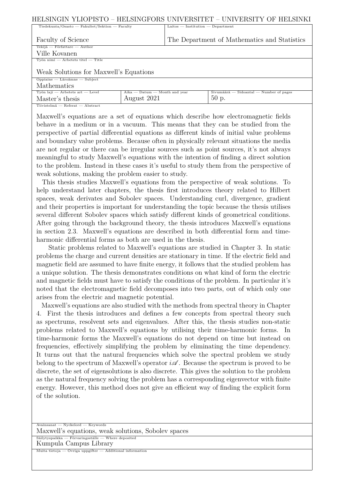| HELSINGIN YLIOPISTO - HELSINGFORS UNIVERSITET - UNIVERSITY OF HELSINKI |                                     |                                                   |                                             |  |  |  |
|------------------------------------------------------------------------|-------------------------------------|---------------------------------------------------|---------------------------------------------|--|--|--|
| Tiedekunta/Osasto — Fakultet/Sektion — Faculty                         |                                     | $Laitos$ $\qquad$ Institution $\qquad$ Department |                                             |  |  |  |
|                                                                        |                                     |                                                   |                                             |  |  |  |
| Faculty of Science                                                     |                                     | The Department of Mathematics and Statistics      |                                             |  |  |  |
| Tekijä – Författare – Author                                           |                                     |                                                   |                                             |  |  |  |
| Ville Kovanen                                                          |                                     |                                                   |                                             |  |  |  |
| $T$ yön nimi $-$ Arbetets titel $-$ Title                              |                                     |                                                   |                                             |  |  |  |
| Weak Solutions for Maxwell's Equations                                 |                                     |                                                   |                                             |  |  |  |
| $Oppiaine$ - Läroämne - Subject                                        |                                     |                                                   |                                             |  |  |  |
| Mathematics                                                            |                                     |                                                   |                                             |  |  |  |
| $T$ vön laji — Arbetets art — Level                                    | $Aika$ $-$ Datum $-$ Month and year |                                                   | $Sivumäärä$ $ Sidoantal$ $ Number$ of pages |  |  |  |
| Master's thesis                                                        | August 2021                         |                                                   | $50$ p.                                     |  |  |  |
| Tiivistelmä – Referat – Abstract                                       |                                     |                                                   |                                             |  |  |  |

Maxwell's equations are a set of equations which describe how electromagnetic fields behave in a medium or in a vacuum. This means that they can be studied from the perspective of partial differential equations as different kinds of initial value problems and boundary value problems. Because often in physically relevant situations the media are not regular or there can be irregular sources such as point sources, it's not always meaningful to study Maxwell's equations with the intention of finding a direct solution to the problem. Instead in these cases it's useful to study them from the perspective of weak solutions, making the problem easier to study.

This thesis studies Maxwell's equations from the perspective of weak solutions. To help understand later chapters, the thesis first introduces theory related to Hilbert spaces, weak derivates and Sobolev spaces. Understanding curl, divergence, gradient and their properties is important for understanding the topic because the thesis utilises several different Sobolev spaces which satisfy different kinds of geometrical conditions. After going through the background theory, the thesis introduces Maxwell's equations in section 2*.*3. Maxwell's equations are described in both differential form and timeharmonic differential forms as both are used in the thesis.

Static problems related to Maxwell's equations are studied in Chapter 3. In static problems the charge and current densities are stationary in time. If the electric field and magnetic field are assumed to have finite energy, it follows that the studied problem has a unique solution. The thesis demonstrates conditions on what kind of form the electric and magnetic fields must have to satisfy the conditions of the problem. In particular it's noted that the electromagnetic field decomposes into two parts, out of which only one arises from the electric and magnetic potential.

Maxwell's equations are also studied with the methods from spectral theory in Chapter 4. First the thesis introduces and defines a few concepts from spectral theory such as spectrums, resolvent sets and eigenvalues. After this, the thesis studies non-static problems related to Maxwell's equations by utilising their time-harmonic forms. In time-harmonic forms the Maxwell's equations do not depend on time but instead on frequencies, effectively simplifying the problem by eliminating the time dependency. It turns out that the natural frequencies which solve the spectral problem we study belong to the spectrum of Maxwell's operator  $i\mathscr{A}$ . Because the spectrum is proved to be discrete, the set of eigensolutions is also discrete. This gives the solution to the problem as the natural frequency solving the problem has a corresponding eigenvector with finite energy. However, this method does not give an efficient way of finding the explicit form of the solution.

Maxwell's equations, weak solutions, Sobolev spaces Avainsanat — Nyckelord — Keywords

Kumpula Campus Library Säilytyspaikka — Förvaringsställe — Where deposited

Muita tietoja — Övriga uppgifter — Additional information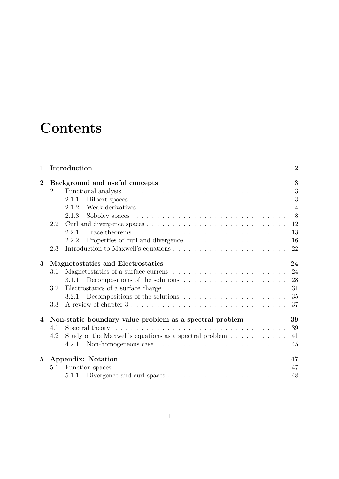# **Contents**

| $\mathbf{1}$    |                                | Introduction                                                                                   | $\overline{2}$ |  |  |
|-----------------|--------------------------------|------------------------------------------------------------------------------------------------|----------------|--|--|
| $\overline{2}$  | Background and useful concepts |                                                                                                |                |  |  |
|                 | 2.1                            |                                                                                                | 3              |  |  |
|                 |                                | 2.1.1                                                                                          | 3              |  |  |
|                 |                                | 2.1.2                                                                                          | $\overline{4}$ |  |  |
|                 |                                | 2.1.3                                                                                          | 8              |  |  |
|                 | 2.2                            |                                                                                                |                |  |  |
|                 |                                | 2.2.1                                                                                          | 13             |  |  |
|                 |                                | 2.2.2                                                                                          | 16             |  |  |
|                 | 2.3                            |                                                                                                | 22             |  |  |
| 3               |                                | Magnetostatics and Electrostatics                                                              | 24             |  |  |
|                 | 3.1                            |                                                                                                | 24             |  |  |
|                 |                                | Decompositions of the solutions $\dots \dots \dots \dots \dots \dots \dots$<br>3.1.1           | 28             |  |  |
|                 | 3.2                            | Electrostatics of a surface charge $\dots \dots \dots \dots \dots \dots \dots \dots$           | 31             |  |  |
|                 |                                |                                                                                                | 35             |  |  |
|                 | 3.3                            |                                                                                                | 37             |  |  |
| 4               |                                | Non-static boundary value problem as a spectral problem                                        | 39             |  |  |
|                 | 4.1                            | Spectral theory $\ldots \ldots \ldots \ldots \ldots \ldots \ldots \ldots \ldots \ldots \ldots$ | 39             |  |  |
|                 | 4.2                            | Study of the Maxwell's equations as a spectral problem $\dots \dots \dots$                     | 41             |  |  |
|                 |                                | 4.2.1                                                                                          | 45             |  |  |
| $5\overline{)}$ |                                | <b>Appendix: Notation</b>                                                                      |                |  |  |
|                 | 5.1                            |                                                                                                | 47             |  |  |
|                 |                                | 5.1.1                                                                                          | 48             |  |  |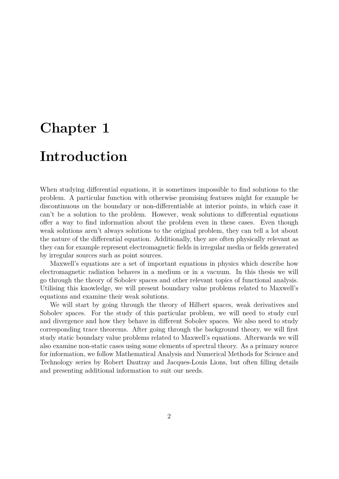# <span id="page-3-0"></span>**Chapter 1**

## **Introduction**

When studying differential equations, it is sometimes impossible to find solutions to the problem. A particular function with otherwise promising features might for example be discontinuous on the boundary or non-differentiable at interior points, in which case it can't be a solution to the problem. However, weak solutions to differential equations offer a way to find information about the problem even in these cases. Even though weak solutions aren't always solutions to the original problem, they can tell a lot about the nature of the differential equation. Additionally, they are often physically relevant as they can for example represent electromagnetic fields in irregular media or fields generated by irregular sources such as point sources.

Maxwell's equations are a set of important equations in physics which describe how electromagnetic radiation behaves in a medium or in a vacuum. In this thesis we will go through the theory of Sobolev spaces and other relevant topics of functional analysis. Utilising this knowledge, we will present boundary value problems related to Maxwell's equations and examine their weak solutions.

We will start by going through the theory of Hilbert spaces, weak derivatives and Sobolev spaces. For the study of this particular problem, we will need to study curl and divergence and how they behave in different Sobolev spaces. We also need to study corresponding trace theorems. After going through the background theory, we will first study static boundary value problems related to Maxwell's equations. Afterwards we will also examine non-static cases using some elements of spectral theory. As a primary source for information, we follow Mathematical Analysis and Numerical Methods for Science and Technology series by Robert Dautray and Jacques-Louis Lions, but often filling details and presenting additional information to suit our needs.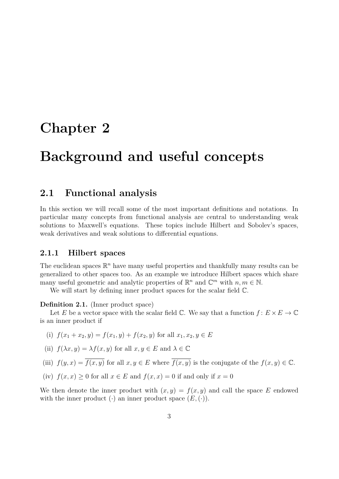## <span id="page-4-0"></span>**Chapter 2**

## **Background and useful concepts**

### <span id="page-4-1"></span>**2.1 Functional analysis**

In this section we will recall some of the most important definitions and notations. In particular many concepts from functional analysis are central to understanding weak solutions to Maxwell's equations. These topics include Hilbert and Sobolev's spaces, weak derivatives and weak solutions to differential equations.

### <span id="page-4-2"></span>**2.1.1 Hilbert spaces**

The euclidean spaces  $\mathbb{R}^n$  have many useful properties and thankfully many results can be generalized to other spaces too. As an example we introduce Hilbert spaces which share many useful geometric and analytic properties of  $\mathbb{R}^n$  and  $\mathbb{C}^m$  with  $n, m \in \mathbb{N}$ .

We will start by defining inner product spaces for the scalar field  $\mathbb{C}$ .

#### **Definition 2.1.** (Inner product space)

Let *E* be a vector space with the scalar field  $\mathbb{C}$ . We say that a function  $f: E \times E \to \mathbb{C}$ is an inner product if

- (i)  $f(x_1 + x_2, y) = f(x_1, y) + f(x_2, y)$  for all  $x_1, x_2, y \in E$
- (ii)  $f(\lambda x, y) = \lambda f(x, y)$  for all  $x, y \in E$  and  $\lambda \in \mathbb{C}$
- (iii)  $f(y, x) = \overline{f(x, y)}$  for all  $x, y \in E$  where  $\overline{f(x, y)}$  is the conjugate of the  $f(x, y) \in \mathbb{C}$ .
- (iv)  $f(x, x) \ge 0$  for all  $x \in E$  and  $f(x, x) = 0$  if and only if  $x = 0$

We then denote the inner product with  $(x, y) = f(x, y)$  and call the space E endowed with the inner product  $(\cdot)$  an inner product space  $(E, (\cdot))$ .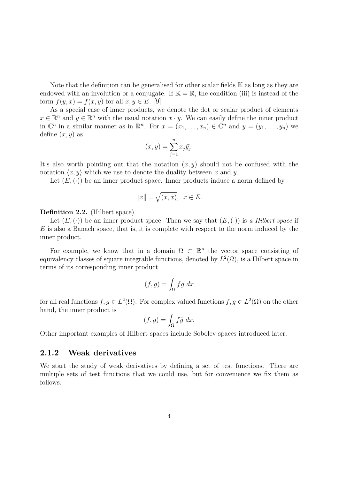Note that the definition can be generalised for other scalar fields K as long as they are endowed with an involution or a conjugate. If  $\mathbb{K} = \mathbb{R}$ , the condition (iii) is instead of the form  $f(y, x) = f(x, y)$  for all  $x, y \in E$ . [\[9\]](#page-51-0)

As a special case of inner products, we denote the dot or scalar product of elements  $x \in \mathbb{R}^n$  and  $y \in \mathbb{R}^n$  with the usual notation  $x \cdot y$ . We can easily define the inner product in  $\mathbb{C}^n$  in a similar manner as in  $\mathbb{R}^n$ . For  $x = (x_1, \ldots, x_n) \in \mathbb{C}^n$  and  $y = (y_1, \ldots, y_n)$  we define  $(x, y)$  as

$$
(x,y) = \sum_{j=1}^{n} x_j \bar{y}_j.
$$

It's also worth pointing out that the notation  $(x, y)$  should not be confused with the notation  $\langle x, y \rangle$  which we use to denote the duality between *x* and *y*.

Let  $(E, \langle \cdot \rangle)$  be an inner product space. Inner products induce a norm defined by

$$
||x|| = \sqrt{(x, x)}, \ \ x \in E.
$$

#### **Definition 2.2.** (Hilbert space)

Let  $(E, \{ \cdot \})$  be an inner product space. Then we say that  $(E, \{ \cdot \})$  is *a Hilbert space* if *E* is also a Banach space, that is, it is complete with respect to the norm induced by the inner product.

For example, we know that in a domain  $\Omega \subset \mathbb{R}^n$  the vector space consisting of equivalency classes of square integrable functions, denoted by  $L^2(\Omega)$ , is a Hilbert space in terms of its corresponding inner product

$$
(f,g) = \int_{\Omega} fg \ dx
$$

for all real functions  $f, g \in L^2(\Omega)$ . For complex valued functions  $f, g \in L^2(\Omega)$  on the other hand, the inner product is

$$
(f,g) = \int_{\Omega} f\bar{g} \ dx.
$$

Other important examples of Hilbert spaces include Sobolev spaces introduced later.

#### <span id="page-5-0"></span>**2.1.2 Weak derivatives**

We start the study of weak derivatives by defining a set of test functions. There are multiple sets of test functions that we could use, but for convenience we fix them as follows.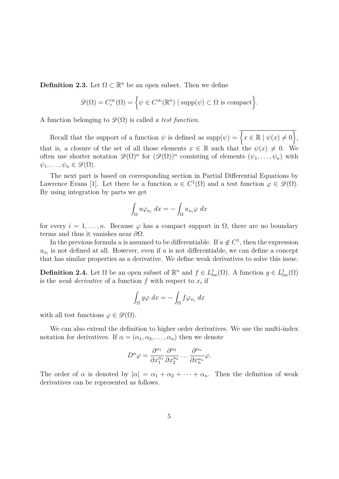**Definition 2.3.** Let  $\Omega \subset \mathbb{R}^n$  be an open subset. Then we define

$$
\mathscr{D}(\Omega) = C_c^{\infty}(\Omega) = \left\{ \psi \in C^{\infty}(\mathbb{R}^n) \mid \text{supp}(\psi) \subset \Omega \text{ is compact} \right\}.
$$

A function belonging to  $\mathscr{D}(\Omega)$  is called *a test function*.

Recall that the support of a function  $\psi$  is defined as  $\text{supp}(\psi) = \{x \in \mathbb{R} \mid \psi(x) \neq 0\},\$ that is, a closure of the set of all those elements  $x \in \mathbb{R}$  such that the  $\psi(x) \neq 0$ . We often use shorter notation  $\mathscr{D}(\Omega)^n$  for  $(\mathscr{D}(\Omega))^n$  consisting of elements  $(\psi_1,\ldots,\psi_n)$  with  $\psi_1, \ldots, \psi_n \in \mathscr{D}(\Omega).$ 

The next part is based on corresponding section in Partial Differential Equations by Lawrence Evans [\[1\]](#page-51-1). Let there be a function  $u \in C^1(\Omega)$  and a test function  $\varphi \in \mathscr{D}(\Omega)$ . By using integration by parts we get

$$
\int_{\Omega} u \varphi_{x_i} dx = - \int_{\Omega} u_{x_i} \varphi dx
$$

for every  $i = 1, \ldots, n$ . Because  $\varphi$  has a compact support in  $\Omega$ , there are no boundary terms and thus it vanishes near *∂*Ω.

In the previous formula *u* is assumed to be differentiable. If  $u \notin C^1$ , then the expression  $u_{x_i}$  is not defined at all. However, even if *u* is not differentiable, we can define a concept that has similar properties as a derivative. We define weak derivatives to solve this issue.

**Definition 2.4.** Let  $\Omega$  be an open subset of  $\mathbb{R}^n$  and  $f \in L^1_{loc}(\Omega)$ . A function  $g \in L^1_{loc}(\Omega)$ is the *weak derivative* of a function  $f$  with respect to  $x_i$  if

$$
\int_{\Omega} g\varphi \ dx = -\int_{\Omega} f\varphi_{x_i} \ dx
$$

with all test functions  $\varphi \in \mathscr{D}(\Omega)$ .

We can also extend the definition to higher order derivatives. We use the multi-index notation for derivatives. If  $\alpha = (\alpha_1, \alpha_2, \dots, \alpha_n)$  then we denote

$$
D^{\alpha}\varphi = \frac{\partial^{\alpha_1}}{\partial x_1^{\alpha_1}} \frac{\partial^{\alpha_2}}{\partial x_2^{\alpha_2}} \dots \frac{\partial^{\alpha_n}}{\partial x_n^{\alpha_n}} \varphi.
$$

The order of  $\alpha$  is denoted by  $|\alpha| = \alpha_1 + \alpha_2 + \cdots + \alpha_n$ . Then the definition of weak derivatives can be represented as follows.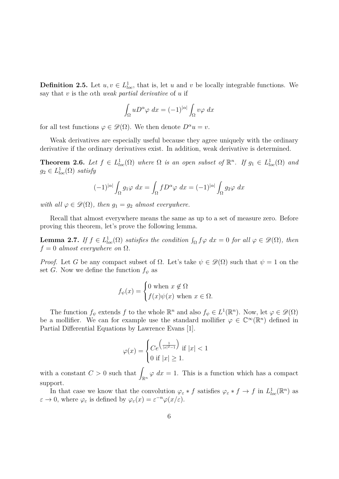**Definition 2.5.** Let  $u, v \in L^1_{loc}$ , that is, let *u* and *v* be locally integrable functions. We say that *v* is the *α*th *weak partial derivative* of *u* if

$$
\int_{\Omega} u D^{\alpha} \varphi \ dx = (-1)^{|\alpha|} \int_{\Omega} v \varphi \ dx
$$

for all test functions  $\varphi \in \mathscr{D}(\Omega)$ . We then denote  $D^{\alpha}u = v$ .

Weak derivatives are especially useful because they agree uniquely with the ordinary derivative if the ordinary derivatives exist. In addition, weak derivative is determined.

<span id="page-7-0"></span>**Theorem 2.6.** *Let*  $f \in L^1_{loc}(\Omega)$  *where*  $\Omega$  *is an open subset of*  $\mathbb{R}^n$ *. If*  $g_1 \in L^1_{loc}(\Omega)$  *and*  $g_2 \in L^1_{loc}(\Omega)$  *satisfy* 

$$
(-1)^{|\alpha|} \int_{\Omega} g_1 \varphi \, dx = \int_{\Omega} f D^{\alpha} \varphi \, dx = (-1)^{|\alpha|} \int_{\Omega} g_2 \varphi \, dx
$$

*with all*  $\varphi \in \mathcal{D}(\Omega)$ *, then*  $g_1 = g_2$  *almost everywhere.* 

Recall that almost everywhere means the same as up to a set of measure zero. Before proving this theorem, let's prove the following lemma.

<span id="page-7-1"></span>**Lemma 2.7.** *If*  $f \in L^1_{loc}(\Omega)$  *satisfies the condition*  $\int_{\Omega} f \varphi dx = 0$  *for all*  $\varphi \in \mathscr{D}(\Omega)$ *, then*  $f = 0$  *almost everywhere on*  $\Omega$ *.* 

*Proof.* Let *G* be any compact subset of  $\Omega$ . Let's take  $\psi \in \mathcal{D}(\Omega)$  such that  $\psi = 1$  on the set *G*. Now we define the function  $f_{\psi}$  as

$$
f_{\psi}(x) = \begin{cases} 0 \text{ when } x \notin \Omega \\ f(x)\psi(x) \text{ when } x \in \Omega. \end{cases}
$$

The function  $f_{\psi}$  extends  $f$  to the whole  $\mathbb{R}^n$  and also  $f_{\psi} \in L^1(\mathbb{R}^n)$ . Now, let  $\varphi \in \mathscr{D}(\Omega)$ be a mollifier. We can for example use the standard mollifier  $\varphi \in \mathbb{C}^{\infty}(\mathbb{R}^{n})$  defined in Partial Differential Equations by Lawrence Evans [\[1\]](#page-51-1).

$$
\varphi(x) = \begin{cases} Ce^{\left(\frac{1}{|x|^2 - 1}\right)} & \text{if } |x| < 1\\ 0 & \text{if } |x| \ge 1. \end{cases}
$$

with a constant  $C > 0$  such that  $\int_{\mathbb{R}^n} \varphi \, dx = 1$ . This is a function which has a compact support.

In that case we know that the convolution  $\varphi_{\varepsilon} * f$  satisfies  $\varphi_{\varepsilon} * f \to f$  in  $L^1_{loc}(\mathbb{R}^n)$  as  $\varepsilon \to 0$ , where  $\varphi_{\varepsilon}$  is defined by  $\varphi_{\varepsilon}(x) = \varepsilon^{-n} \varphi(x/\varepsilon)$ .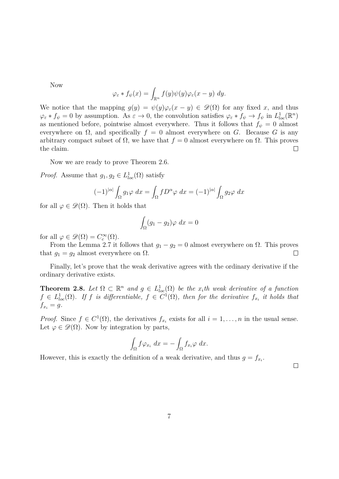Now

$$
\varphi_{\varepsilon} * f_{\psi}(x) = \int_{\mathbb{R}^n} f(y) \psi(y) \varphi_{\varepsilon}(x - y) \ dy.
$$

We notice that the mapping  $g(y) = \psi(y)\varphi_{\varepsilon}(x-y) \in \mathscr{D}(\Omega)$  for any fixed *x*, and thus  $\varphi_{\varepsilon} * f_{\psi} = 0$  by assumption. As  $\varepsilon \to 0$ , the convolution satisfies  $\varphi_{\varepsilon} * f_{\psi} \to f_{\psi}$  in  $L^1_{loc}(\mathbb{R}^n)$ as mentioned before, pointwise almost everywhere. Thus it follows that  $f_{\psi} = 0$  almost everywhere on  $\Omega$ , and specifically  $f = 0$  almost everywhere on *G*. Because *G* is any arbitrary compact subset of  $\Omega$ , we have that  $f = 0$  almost everywhere on  $\Omega$ . This proves the claim.  $\Box$ 

Now we are ready to prove Theorem [2.6.](#page-7-0)

*Proof.* Assume that  $g_1, g_2 \in L^1_{loc}(\Omega)$  satisfy

$$
(-1)^{|\alpha|} \int_{\Omega} g_1 \varphi \, dx = \int_{\Omega} f D^{\alpha} \varphi \, dx = (-1)^{|\alpha|} \int_{\Omega} g_2 \varphi \, dx
$$

for all  $\varphi \in \mathscr{D}(\Omega)$ . Then it holds that

$$
\int_{\Omega} (g_1 - g_2)\varphi \ dx = 0
$$

for all  $\varphi \in \mathscr{D}(\Omega) = C_c^{\infty}(\Omega)$ .

From the Lemma [2.7](#page-7-1) it follows that  $g_1 - g_2 = 0$  almost everywhere on  $\Omega$ . This proves that  $g_1 = g_2$  almost everywhere on  $\Omega$ .  $\Box$ 

Finally, let's prove that the weak derivative agrees with the ordinary derivative if the ordinary derivative exists.

**Theorem 2.8.** Let  $\Omega \subset \mathbb{R}^n$  and  $g \in L^1_{loc}(\Omega)$  be the  $x_i$ <sup>th</sup> weak derivative of a function  $f \in L^1_{loc}(\Omega)$ . If *f* is differentiable,  $f \in C^1(\Omega)$ , then for the derivative  $f_{x_i}$  it holds that  $f_{x_i} = g$ .

*Proof.* Since  $f \in C^1(\Omega)$ , the derivatives  $f_{x_i}$  exists for all  $i = 1, \ldots, n$  in the usual sense. Let  $\varphi \in \mathscr{D}(\Omega)$ . Now by integration by parts,

$$
\int_{\Omega} f \varphi_{x_i} dx = - \int_{\Omega} f_{x_i} \varphi dx.
$$

However, this is exactly the definition of a weak derivative, and thus  $g = f_{x_i}$ .

 $\Box$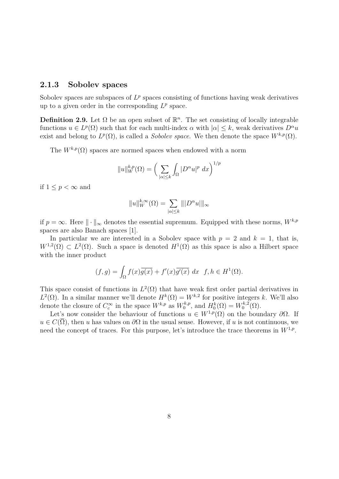#### <span id="page-9-0"></span>**2.1.3 Sobolev spaces**

Sobolev spaces are subspaces of  $L^p$  spaces consisting of functions having weak derivatives up to a given order in the corresponding  $L^p$  space.

**Definition 2.9.** Let  $\Omega$  be an open subset of  $\mathbb{R}^n$ . The set consisting of locally integrable functions  $u \in L^p(\Omega)$  such that for each multi-index  $\alpha$  with  $|\alpha| \leq k$ , weak derivatives  $D^{\alpha}u$ exist and belong to  $L^p(\Omega)$ , is called a *Sobolev space*. We then denote the space  $W^{k,p}(\Omega)$ .

The  $W^{k,p}(\Omega)$  spaces are normed spaces when endowed with a norm

$$
||u||_{W}^{k,p}(\Omega) = \left(\sum_{|\alpha| \le k} \int_{\Omega} |D^{\alpha}u|^{p} dx\right)^{1/p}
$$

if  $1 \leq p < \infty$  and

$$
||u||_{W}^{k,\infty}(\Omega) = \sum_{|\alpha| \le k} |||D^{\alpha}u|||_{\infty}
$$

if  $p = \infty$ . Here  $\|\cdot\|_{\infty}$  denotes the essential supremum. Equipped with these norms,  $W^{k,p}$ spaces are also Banach spaces [\[1\]](#page-51-1).

In particular we are interested in a Sobolev space with  $p = 2$  and  $k = 1$ , that is,  $W^{1,2}(\Omega) \subset L^2(\Omega)$ . Such a space is denoted  $H^1(\Omega)$  as this space is also a Hilbert space with the inner product

$$
(f,g) = \int_{\Omega} f(x)\overline{g(x)} + f'(x)\overline{g'(x)} dx \quad f, h \in H^{1}(\Omega).
$$

This space consist of functions in  $L^2(\Omega)$  that have weak first order partial derivatives in  $L^2(\Omega)$ . In a similar manner we'll denote  $H^k(\Omega) = W^{k,2}$  for positive integers *k*. We'll also denote the closure of  $C_c^{\infty}$  in the space  $W^{k,p}$  as  $W_0^{k,p}$  $H_0^{k,p}$ , and  $H_0^k(\Omega) = W_0^{k,2}$  $\zeta_0^{\kappa,2}(\Omega)$ .

Let's now consider the behaviour of functions  $u \in W^{1,p}(\Omega)$  on the boundary  $\partial\Omega$ . If  $u \in C(\overline{\Omega})$ , then *u* has values on  $\partial\Omega$  in the usual sense. However, if *u* is not continuous, we need the concept of traces. For this purpose, let's introduce the trace theorems in *W*<sup>1</sup>*,p* .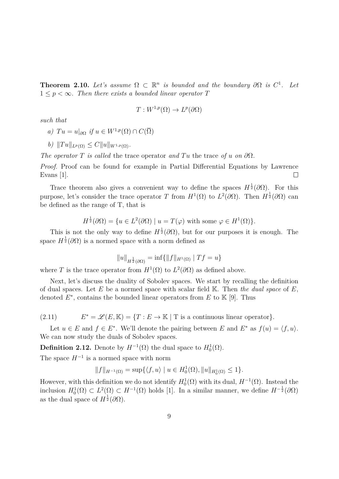**Theorem 2.10.** Let's assume  $\Omega \subset \mathbb{R}^n$  is bounded and the boundary  $\partial \Omega$  is  $C^1$ . Let  $1 \leq p \leq \infty$ . Then there exists a bounded linear operator T

$$
T: W^{1,p}(\Omega) \to L^p(\partial\Omega)
$$

*such that*

a) 
$$
Tu = u|_{\partial\Omega}
$$
 if  $u \in W^{1,p}(\Omega) \cap C(\overline{\Omega})$ 

*b*)  $||Tu||_{L^p(\Omega)} \leq C||u||_{W^{1,p}(\Omega)}$ .

*The operator T is called* the trace operator *and*  $Tu$  the trace *of u on*  $\partial\Omega$ *.* 

*Proof.* Proof can be found for example in Partial Differential Equations by Lawrence Evans [\[1\]](#page-51-1).  $\Box$ 

Trace theorem also gives a convenient way to define the spaces  $H^{\frac{1}{2}}(\partial\Omega)$ . For this purpose, let's consider the trace operator *T* from  $H^1(\Omega)$  to  $L^2(\partial\Omega)$ . Then  $H^{\frac{1}{2}}(\partial\Omega)$  can be defined as the range of T, that is

$$
H^{\frac{1}{2}}(\partial\Omega) = \{ u \in L^{2}(\partial\Omega) \mid u = T(\varphi) \text{ with some } \varphi \in H^{1}(\Omega) \}.
$$

This is not the only way to define  $H^{\frac{1}{2}}(\partial\Omega)$ , but for our purposes it is enough. The space  $H^{\frac{1}{2}}(\partial\Omega)$  is a normed space with a norm defined as

$$
||u||_{H^{\frac{1}{2}}(\partial\Omega)} = \inf \{ ||f||_{H^1(\Omega)} | Tf = u \}
$$

where *T* is the trace operator from  $H^1(\Omega)$  to  $L^2(\partial\Omega)$  as defined above.

Next, let's discuss the duality of Sobolev spaces. We start by recalling the definition of dual spaces. Let *E* be a normed space with scalar field K. Then *the dual space* of *E*, denoted  $E^*$ , contains the bounded linear operators from  $E$  to  $K$  [\[9\]](#page-51-0). Thus

<span id="page-10-0"></span> $(2.11)$  $E^* = \mathscr{L}(E, \mathbb{K}) = \{T : E \to \mathbb{K} \mid T \text{ is a continuous linear operator}\}.$ 

Let  $u \in E$  and  $f \in E^*$ . We'll denote the pairing between *E* and  $E^*$  as  $f(u) = \langle f, u \rangle$ . We can now study the duals of Sobolev spaces.

**Definition 2.12.** Denote by  $H^{-1}(\Omega)$  the dual space to  $H_0^1(\Omega)$ .

The space  $H^{-1}$  is a normed space with norm

$$
||f||_{H^{-1}(\Omega)} = \sup \{ \langle f, u \rangle \mid u \in H_0^1(\Omega), ||u||_{H_0^1(\Omega)} \le 1 \}.
$$

However, with this definition we do not identify  $H_0^1(\Omega)$  with its dual,  $H^{-1}(\Omega)$ . Instead the inclusion  $H_0^1(\Omega) \subset L^2(\Omega) \subset H^{-1}(\Omega)$  holds [\[1\]](#page-51-1). In a similar manner, we define  $H^{-\frac{1}{2}}(\partial \Omega)$ as the dual space of  $H^{\frac{1}{2}}(\partial\Omega)$ .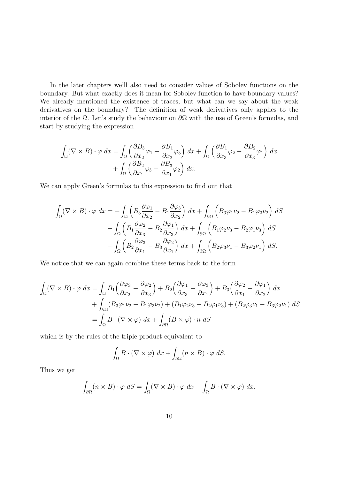In the later chapters we'll also need to consider values of Sobolev functions on the boundary. But what exactly does it mean for Sobolev function to have boundary values? We already mentioned the existence of traces, but what can we say about the weak derivatives on the boundary? The definition of weak derivatives only applies to the interior of the Ω. Let's study the behaviour on *∂*Ω with the use of Green's formulas, and start by studying the expression

$$
\int_{\Omega} (\nabla \times B) \cdot \varphi \, dx = \int_{\Omega} \left( \frac{\partial B_3}{\partial x_2} \varphi_1 - \frac{\partial B_1}{\partial x_2} \varphi_3 \right) dx + \int_{\Omega} \left( \frac{\partial B_1}{\partial x_3} \varphi_2 - \frac{\partial B_2}{\partial x_3} \varphi_1 \right) dx + \int_{\Omega} \left( \frac{\partial B_2}{\partial x_1} \varphi_3 - \frac{\partial B_3}{\partial x_1} \varphi_2 \right) dx.
$$

We can apply Green's formulas to this expression to find out that

$$
\int_{\Omega} (\nabla \times B) \cdot \varphi \, dx = -\int_{\Omega} \left( B_3 \frac{\partial \varphi_1}{\partial x_2} - B_1 \frac{\partial \varphi_3}{\partial x_2} \right) dx + \int_{\partial \Omega} \left( B_3 \varphi_1 \nu_2 - B_1 \varphi_3 \nu_2 \right) dS
$$

$$
- \int_{\Omega} \left( B_1 \frac{\partial \varphi_2}{\partial x_3} - B_2 \frac{\partial \varphi_1}{\partial x_3} \right) dx + \int_{\partial \Omega} \left( B_1 \varphi_2 \nu_3 - B_2 \varphi_1 \nu_3 \right) dS
$$

$$
- \int_{\Omega} \left( B_2 \frac{\partial \varphi_3}{\partial x_1} - B_3 \frac{\partial \varphi_2}{\partial x_1} \right) dx + \int_{\partial \Omega} \left( B_2 \varphi_3 \nu_1 - B_3 \varphi_2 \nu_1 \right) dS.
$$

We notice that we can again combine these terms back to the form

$$
\int_{\Omega} (\nabla \times B) \cdot \varphi \, dx = \int_{\Omega} B_1 \left( \frac{\partial \varphi_3}{\partial x_2} - \frac{\partial \varphi_2}{\partial x_3} \right) + B_2 \left( \frac{\partial \varphi_1}{\partial x_3} - \frac{\partial \varphi_3}{\partial x_1} \right) + B_3 \left( \frac{\partial \varphi_2}{\partial x_1} - \frac{\partial \varphi_1}{\partial x_2} \right) dx \n+ \int_{\partial \Omega} (B_3 \varphi_1 \nu_2 - B_1 \varphi_3 \nu_2) + (B_1 \varphi_2 \nu_3 - B_2 \varphi_1 \nu_3) + (B_2 \varphi_3 \nu_1 - B_3 \varphi_2 \nu_1) dS \n= \int_{\Omega} B \cdot (\nabla \times \varphi) \, dx + \int_{\partial \Omega} (B \times \varphi) \cdot n \, dS
$$

which is by the rules of the triple product equivalent to

$$
\int_{\Omega} B \cdot (\nabla \times \varphi) \, dx + \int_{\partial \Omega} (n \times B) \cdot \varphi \, dS.
$$

Thus we get

$$
\int_{\partial\Omega} (n \times B) \cdot \varphi \, dS = \int_{\Omega} (\nabla \times B) \cdot \varphi \, dx - \int_{\Omega} B \cdot (\nabla \times \varphi) \, dx.
$$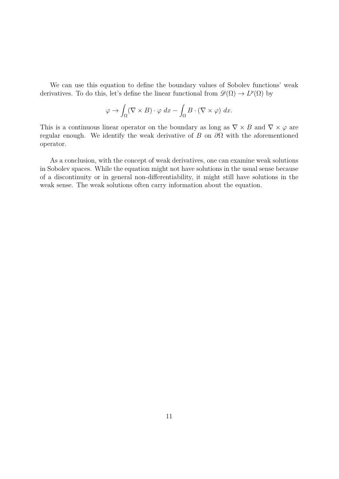We can use this equation to define the boundary values of Sobolev functions' weak derivatives. To do this, let's define the linear functional from  $\mathscr{D}(\Omega) \to L^p(\Omega)$  by

$$
\varphi \to \int_{\Omega} (\nabla \times B) \cdot \varphi \, dx - \int_{\Omega} B \cdot (\nabla \times \varphi) \, dx.
$$

This is a continuous linear operator on the boundary as long as  $\nabla \times B$  and  $\nabla \times \varphi$  are regular enough. We identify the weak derivative of *B* on *∂*Ω with the aforementioned operator.

As a conclusion, with the concept of weak derivatives, one can examine weak solutions in Sobolev spaces. While the equation might not have solutions in the usual sense because of a discontinuity or in general non-differentiability, it might still have solutions in the weak sense. The weak solutions often carry information about the equation.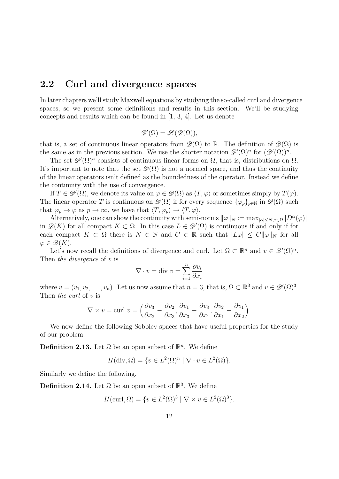### <span id="page-13-0"></span>**2.2 Curl and divergence spaces**

In later chapters we'll study Maxwell equations by studying the so-called curl and divergence spaces, so we present some definitions and results in this section. We'll be studying concepts and results which can be found in [\[1,](#page-51-1) [3,](#page-51-2) [4\]](#page-51-3). Let us denote

$$
\mathscr{D}'(\Omega) = \mathscr{L}(\mathscr{D}(\Omega)),
$$

that is, a set of continuous linear operators from  $\mathscr{D}(\Omega)$  to R. The definition of  $\mathscr{D}(\Omega)$  is the same as in the previous section. We use the shorter notation  $\mathscr{D}'(\Omega)^n$  for  $(\mathscr{D}'(\Omega))^n$ .

The set  $\mathscr{D}'(\Omega)^n$  consists of continuous linear forms on  $\Omega$ , that is, distributions on  $\Omega$ . It's important to note that the set  $\mathscr{D}(\Omega)$  is not a normed space, and thus the continuity of the linear operators isn't defined as the boundedness of the operator. Instead we define the continuity with the use of convergence.

If  $T \in \mathscr{D}'(\Omega)$ , we denote its value on  $\varphi \in \mathscr{D}(\Omega)$  as  $\langle T, \varphi \rangle$  or sometimes simply by  $T(\varphi)$ . The linear operator *T* is continuous on  $\mathscr{D}(\Omega)$  if for every sequence  $\{\varphi_p\}_{p\in\mathbb{N}}$  in  $\mathscr{D}(\Omega)$  such that  $\varphi_p \to \varphi$  as  $p \to \infty$ , we have that  $\langle T, \varphi_p \rangle \to \langle T, \varphi \rangle$ .

Alternatively, one can show the continuity with semi-norms  $\|\varphi\|_N := \max_{|\alpha| \le N, x \in \Omega} |D^{\alpha}(\varphi)|$ in  $\mathscr{D}(K)$  for all compact  $K \subset \Omega$ . In this case  $L \in \mathscr{D}'(\Omega)$  is continuous if and only if for each compact  $K \subset \Omega$  there is  $N \in \mathbb{N}$  and  $C \in \mathbb{R}$  such that  $|L\varphi| \leq C \|\varphi\|_N$  for all  $\varphi \in \mathscr{D}(K)$ .

Let's now recall the definitions of divergence and curl. Let  $\Omega \subset \mathbb{R}^n$  and  $v \in \mathscr{D}'(\Omega)^n$ . Then *the divergence* of *v* is

$$
\nabla \cdot v = \text{div } v = \sum_{i=1}^{n} \frac{\partial v_i}{\partial x_i}
$$

where  $v = (v_1, v_2, \ldots, v_n)$ . Let us now assume that  $n = 3$ , that is,  $\Omega \subset \mathbb{R}^3$  and  $v \in \mathscr{D}'(\Omega)^3$ . Then *the curl* of *v* is

$$
\nabla \times v = \text{curl } v = \left(\frac{\partial v_3}{\partial x_2} - \frac{\partial v_2}{\partial x_3}, \frac{\partial v_1}{\partial x_3} - \frac{\partial v_3}{\partial x_1}, \frac{\partial v_2}{\partial x_1} - \frac{\partial v_1}{\partial x_2}\right).
$$

We now define the following Sobolev spaces that have useful properties for the study of our problem.

**Definition 2.13.** Let  $\Omega$  be an open subset of  $\mathbb{R}^n$ . We define

$$
H(\text{div}, \Omega) = \{ v \in L^2(\Omega)^n \mid \nabla \cdot v \in L^2(\Omega) \}.
$$

Similarly we define the following.

**Definition 2.14.** Let  $\Omega$  be an open subset of  $\mathbb{R}^3$ . We define

$$
H(\text{curl}, \Omega) = \{ v \in L^2(\Omega)^3 \mid \nabla \times v \in L^2(\Omega)^3 \}.
$$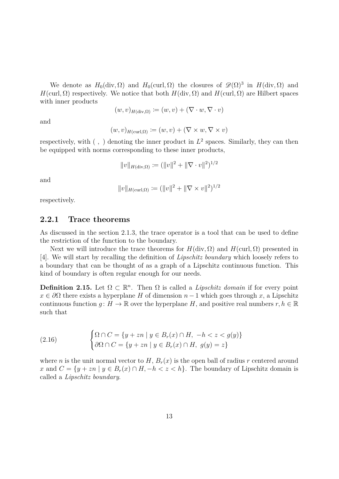We denote as  $H_0(\text{div}, \Omega)$  and  $H_0(\text{curl}, \Omega)$  the closures of  $\mathscr{D}(\Omega)^3$  in  $H(\text{div}, \Omega)$  and *H*(curl,  $\Omega$ ) respectively. We notice that both *H*(div,  $\Omega$ ) and *H*(curl,  $\Omega$ ) are Hilbert spaces with inner products

$$
(w,v)_{H(\text{div},\Omega)} \coloneqq (w,v) + (\nabla \cdot w, \nabla \cdot v)
$$

and

$$
(w, v)_{H(\text{curl}, \Omega)} \coloneqq (w, v) + (\nabla \times w, \nabla \times v)
$$

respectively, with  $( , )$  denoting the inner product in  $L^2$  spaces. Similarly, they can then be equipped with norms corresponding to these inner products,

$$
||v||_{H(\text{div},\Omega)} := (||v||^2 + ||\nabla \cdot v||^2)^{1/2}
$$

and

$$
||v||_{H(\text{curl},\Omega)} := (||v||^2 + ||\nabla \times v||^2)^{1/2}
$$

respectively.

#### <span id="page-14-0"></span>**2.2.1 Trace theorems**

As discussed in the section [2.1.3,](#page-9-0) the trace operator is a tool that can be used to define the restriction of the function to the boundary.

Next we will introduce the trace theorems for  $H(\text{div}, \Omega)$  and  $H(\text{curl}, \Omega)$  presented in [\[4\]](#page-51-3). We will start by recalling the definition of *Lipschitz boundary* which loosely refers to a boundary that can be thought of as a graph of a Lipschitz continuous function. This kind of boundary is often regular enough for our needs.

<span id="page-14-1"></span>**Definition 2.15.** Let  $\Omega \subset \mathbb{R}^n$ . Then  $\Omega$  is called a *Lipschitz domain* if for every point  $x \in \partial\Omega$  there exists a hyperplane *H* of dimension  $n-1$  which goes through *x*, a Lipschitz continuous function *g*:  $H \to \mathbb{R}$  over the hyperplane *H*, and positive real numbers  $r, h \in \mathbb{R}$ such that

(2.16) 
$$
\begin{cases} \Omega \cap C = \{y + zn \mid y \in B_r(x) \cap H, \ -h < z < g(y) \} \\ \partial \Omega \cap C = \{y + zn \mid y \in B_r(x) \cap H, \ g(y) = z \} \end{cases}
$$

where *n* is the unit normal vector to *H*,  $B_r(x)$  is the open ball of radius *r* centered around *x* and  $C = \{y + zn \mid y \in B_r(x) \cap H, -h < z < h\}$ . The boundary of Lipschitz domain is called a *Lipschitz boundary*.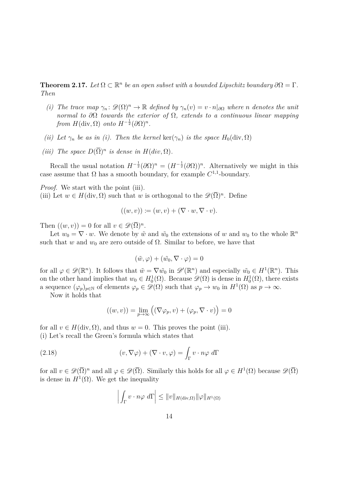**Theorem 2.17.** Let  $\Omega \subset \mathbb{R}^n$  be an open subset with a bounded Lipschitz boundary  $\partial \Omega = \Gamma$ . *Then*

- *(i) The trace map*  $\gamma_n$ :  $\mathscr{D}(\Omega)^n \to \mathbb{R}$  *defined by*  $\gamma_n(v) = v \cdot n|_{\partial\Omega}$  *where n denotes the unit normal to ∂*Ω *towards the exterior of* Ω*, extends to a continuous linear mapping from*  $H(\text{div}, \Omega)$  *onto*  $H^{-\frac{1}{2}}(\partial \Omega)^n$ .
- *(ii)* Let  $\gamma_n$  be as in *(i).* Then the kernel ker( $\gamma_n$ ) is the space  $H_0(\text{div}, \Omega)$
- *(iii) The space*  $D(\overline{\Omega})^n$  *is dense in*  $H(div, \Omega)$ *.*

Recall the usual notation  $H^{-\frac{1}{2}}(\partial \Omega)^n = (H^{-\frac{1}{2}}(\partial \Omega))^n$ . Alternatively we might in this case assume that  $\Omega$  has a smooth boundary, for example  $C^{1,1}$ -boundary.

*Proof.* We start with the point (iii).

(iii) Let  $w \in H(\text{div}, \Omega)$  such that *w* is orthogonal to the  $\mathscr{D}(\overline{\Omega})^n$ . Define

$$
((w, v)) \coloneqq (w, v) + (\nabla \cdot w, \nabla \cdot v).
$$

Then  $((w, v)) = 0$  for all  $v \in \mathscr{D}(\overline{\Omega})^n$ .

Let  $w_0 = \nabla \cdot w$ . We denote by  $\tilde{w}$  and  $\tilde{w_0}$  the extensions of w and  $w_0$  to the whole  $\mathbb{R}^n$ such that *w* and  $w_0$  are zero outside of  $\Omega$ . Similar to before, we have that

$$
(\tilde{w}, \varphi) + (\tilde{w_0}, \nabla \cdot \varphi) = 0
$$

for all  $\varphi \in \mathscr{D}(\mathbb{R}^n)$ . It follows that  $\tilde{w} = \nabla \tilde{w}_0$  in  $\mathscr{D}'(\mathbb{R}^n)$  and especially  $\tilde{w}_0 \in H^1(\mathbb{R}^n)$ . This on the other hand implies that  $w_0 \in H_0^1(\Omega)$ . Because  $\mathscr{D}(\Omega)$  is dense in  $H_0^1(\Omega)$ , there exists a sequence  $(\varphi_p)_{p \in \mathbb{N}}$  of elements  $\varphi_p \in \mathscr{D}(\Omega)$  such that  $\varphi_p \to w_0$  in  $H^1(\Omega)$  as  $p \to \infty$ .

Now it holds that

$$
((w, v)) = \lim_{p \to \infty} ((\nabla \varphi_p, v) + (\varphi_p, \nabla \cdot v)) = 0
$$

for all  $v \in H(\text{div}, \Omega)$ , and thus  $w = 0$ . This proves the point (iii). (i) Let's recall the Green's formula which states that

(2.18) 
$$
(v, \nabla \varphi) + (\nabla \cdot v, \varphi) = \int_{\Gamma} v \cdot n\varphi \, d\Gamma
$$

for all  $v \in \mathscr{D}(\overline{\Omega})^n$  and all  $\varphi \in \mathscr{D}(\overline{\Omega})$ . Similarly this holds for all  $\varphi \in H^1(\Omega)$  because  $\mathscr{D}(\overline{\Omega})$ is dense in  $H^1(\Omega)$ . We get the inequality

$$
\left| \int_{\Gamma} v \cdot n\varphi \, d\Gamma \right| \leq \|v\|_{H(\text{div},\Omega)} \|\varphi\|_{H^1(\Omega)}
$$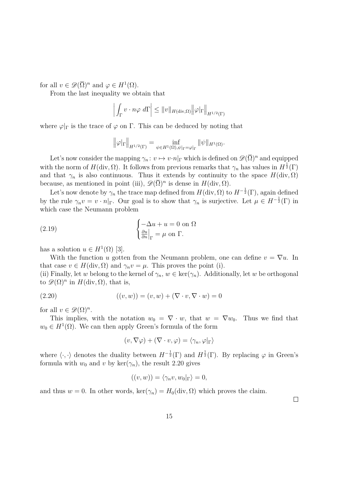for all  $v \in \mathscr{D}(\overline{\Omega})^n$  and  $\varphi \in H^1(\Omega)$ .

From the last inequality we obtain that

$$
\left| \int_{\Gamma} v \cdot n\varphi \, d\Gamma \right| \leq \|v\|_{H(\text{div},\Omega)} \|\varphi|_{\Gamma} \big\|_{H^{1/2}(\Gamma)}
$$

where  $\varphi|_{\Gamma}$  is the trace of  $\varphi$  on  $\Gamma$ . This can be deduced by noting that

$$
\left\|\varphi|_{\Gamma}\right\|_{H^{1/2}(\Gamma)}=\inf_{\psi\in H^1(\Omega), \psi|_{\Gamma}=\varphi|_{\Gamma}}\|\psi\|_{H^1(\Omega)}.
$$

Let's now consider the mapping  $\gamma_n : v \mapsto v \cdot n|_{\Gamma}$  which is defined on  $\mathscr{D}(\overline{\Omega})^n$  and equipped with the norm of  $H(\text{div}, \Omega)$ . It follows from previous remarks that  $\gamma_n$  has values in  $H^{\frac{1}{2}}(\Gamma)$ and that  $\gamma_n$  is also continuous. Thus it extends by continuity to the space  $H(\text{div}, \Omega)$ because, as mentioned in point (iii),  $\mathscr{D}(\overline{\Omega})^n$  is dense in  $H(\text{div}, \Omega)$ .

Let's now denote by  $\gamma_n$  the trace map defined from  $H(\text{div}, \Omega)$  to  $H^{-\frac{1}{2}}(\Gamma)$ , again defined by the rule  $\gamma_n v = v \cdot n|_{\Gamma}$ . Our goal is to show that  $\gamma_n$  is surjective. Let  $\mu \in H^{-\frac{1}{2}}(\Gamma)$  in which case the Neumann problem

(2.19) 
$$
\begin{cases} -\Delta u + u = 0 \text{ on } \Omega \\ \frac{\partial u}{\partial n}|_{\Gamma} = \mu \text{ on } \Gamma. \end{cases}
$$

has a solution  $u \in H^1(\Omega)$  [\[3\]](#page-51-2).

With the function *u* gotten from the Neumann problem, one can define  $v = \nabla u$ . In that case  $v \in H(\text{div}, \Omega)$  and  $\gamma_n v = \mu$ . This proves the point (i).

(ii) Finally, let *w* belong to the kernel of  $\gamma_n, w \in \text{ker}(\gamma_n)$ . Additionally, let *w* be orthogonal to  $\mathscr{D}(\Omega)^n$  in  $H(\text{div}, \Omega)$ , that is,

(2.20) 
$$
((v, w)) = (v, w) + (\nabla \cdot v, \nabla \cdot w) = 0
$$

for all  $v \in \mathscr{D}(\Omega)^n$ .

This implies, with the notation  $w_0 = \nabla \cdot w$ , that  $w = \nabla w_0$ . Thus we find that  $w_0 \in H^1(\Omega)$ . We can then apply Green's formula of the form

<span id="page-16-0"></span>
$$
(v, \nabla \varphi) + (\nabla \cdot v, \varphi) = \langle \gamma_n, \varphi |_{\Gamma} \rangle
$$

where  $\langle \cdot, \cdot \rangle$  denotes the duality between  $H^{-\frac{1}{2}}(\Gamma)$  and  $H^{\frac{1}{2}}(\Gamma)$ . By replacing  $\varphi$  in Green's formula with  $w_0$  and  $v$  by ker( $\gamma_n$ ), the result [2.20](#page-16-0) gives

$$
((v, w)) = \langle \gamma_n v, w_0 |_{\Gamma} \rangle = 0,
$$

and thus  $w = 0$ . In other words,  $\ker(\gamma_n) = H_0(\text{div}, \Omega)$  which proves the claim.

 $\Box$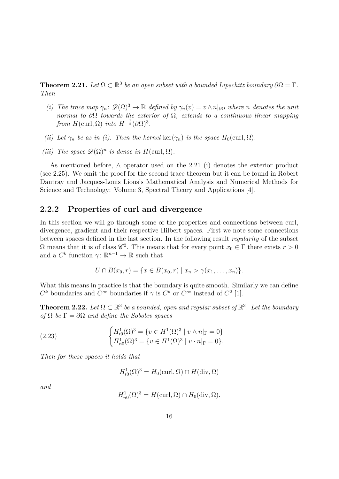<span id="page-17-1"></span>**Theorem 2.21.** Let  $\Omega \subset \mathbb{R}^3$  be an open subset with a bounded Lipschitz boundary  $\partial \Omega = \Gamma$ . *Then*

- *(i) The trace map*  $\gamma_n$ :  $\mathscr{D}(\Omega)^3 \to \mathbb{R}$  *defined by*  $\gamma_n(v) = v \wedge n|_{\partial\Omega}$  *where n denotes the unit normal to ∂*Ω *towards the exterior of* Ω*, extends to a continuous linear mapping from*  $H(\text{curl}, \Omega)$  *into*  $H^{-\frac{1}{2}}(\partial \Omega)^3$ .
- *(ii) Let*  $\gamma_n$  *be as in (i). Then the kernel* ker $(\gamma_n)$  *is the space*  $H_0(\text{curl}, \Omega)$ *.*
- *(iii) The space*  $\mathscr{D}(\overline{\Omega})^n$  *is dense in*  $H(\text{curl}, \Omega)$ *.*

As mentioned before, ∧ operator used on the [2.21](#page-17-1) (i) denotes the exterior product (see [2.25\)](#page-18-0). We omit the proof for the second trace theorem but it can be found in Robert Dautray and Jacques-Louis Lions's Mathematical Analysis and Numerical Methods for Science and Technology: Volume 3, Spectral Theory and Applications [\[4\]](#page-51-3).

#### <span id="page-17-0"></span>**2.2.2 Properties of curl and divergence**

In this section we will go through some of the properties and connections between curl, divergence, gradient and their respective Hilbert spaces. First we note some connections between spaces defined in the last section. In the following result *regularity* of the subset  $Ω$  means that it is of class  $\mathscr{C}^2$ . This means that for every point *x*<sub>0</sub> ∈ Γ there exists *r* > 0 and a  $C^k$  function  $\gamma: \mathbb{R}^{n-1} \to \mathbb{R}$  such that

$$
U \cap B(x_0,r) = \{x \in B(x_0,r) \mid x_n > \gamma(x_1,\ldots,x_n)\}.
$$

What this means in practice is that the boundary is quite smooth. Similarly we can define  $C^k$  boundaries and  $C^{\infty}$  boundaries if  $\gamma$  is  $C^k$  or  $C^{\infty}$  instead of  $C^2$  [\[1\]](#page-51-1).

**Theorem 2.22.** Let  $\Omega \subset \mathbb{R}^3$  be a bounded, open and regular subset of  $\mathbb{R}^3$ . Let the boundary *of*  $\Omega$  *be*  $\Gamma = \partial \Omega$  *and define the Sobolev spaces* 

(2.23) 
$$
\begin{cases} H_{t0}^1(\Omega)^3 = \{ v \in H^1(\Omega)^3 \mid v \wedge n|_{\Gamma} = 0 \} \\ H_{n0}^1(\Omega)^3 = \{ v \in H^1(\Omega)^3 \mid v \cdot n|_{\Gamma} = 0 \}. \end{cases}
$$

*Then for these spaces it holds that*

<span id="page-17-2"></span>
$$
H_{t0}^1(\Omega)^3 = H_0(\text{curl}, \Omega) \cap H(\text{div}, \Omega)
$$

*and*

$$
H_{n0}^1(\Omega)^3 = H(\text{curl}, \Omega) \cap H_0(\text{div}, \Omega).
$$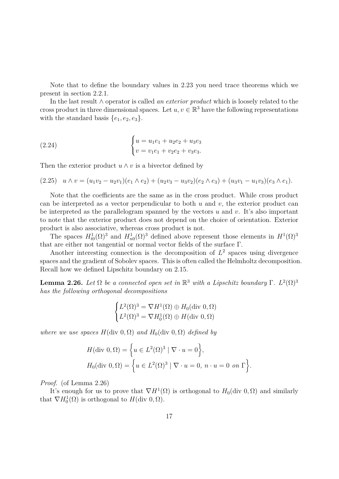Note that to define the boundary values in [2.23](#page-17-2) you need trace theorems which we present in section [2.2.1.](#page-14-0)

In the last result ∧ operator is called *an exterior product* which is loosely related to the cross product in three dimensional spaces. Let  $u, v \in \mathbb{R}^3$  have the following representations with the standard basis  $\{e_1, e_2, e_3\}.$ 

(2.24) 
$$
\begin{cases} u = u_1 e_1 + u_2 e_2 + u_3 e_3 \\ v = v_1 e_1 + v_2 e_2 + v_3 e_3. \end{cases}
$$

Then the exterior product  $u \wedge v$  is a bivector defined by

<span id="page-18-0"></span>
$$
(2.25) \quad u \wedge v = (u_1v_2 - u_2v_1)(e_1 \wedge e_2) + (u_2v_3 - u_3v_2)(e_2 \wedge e_3) + (u_3v_1 - u_1v_3)(e_3 \wedge e_1).
$$

Note that the coefficients are the same as in the cross product. While cross product can be interpreted as a vector perpendicular to both *u* and *v*, the exterior product can be interpreted as the parallelogram spanned by the vectors *u* and *v*. It's also important to note that the exterior product does not depend on the choice of orientation. Exterior product is also associative, whereas cross product is not.

The spaces  $H^1_{t0}(\Omega)^3$  and  $H^1_{n0}(\Omega)^3$  defined above represent those elements in  $H^1(\Omega)^3$ that are either not tangential or normal vector fields of the surface Γ.

Another interesting connection is the decomposition of  $L<sup>2</sup>$  spaces using divergence spaces and the gradient of Sobolev spaces. This is often called the Helmholtz decomposition. Recall how we defined Lipschitz boundary on [2.15.](#page-14-1)

<span id="page-18-1"></span>**Lemma 2.26.** Let  $\Omega$  be a connected open set in  $\mathbb{R}^3$  with a Lipschitz boundary  $\Gamma$ .  $L^2(\Omega)^3$ *has the following orthogonal decompositions*

$$
\begin{cases}\nL^2(\Omega)^3 = \nabla H^1(\Omega) \oplus H_0(\text{div } 0, \Omega) \\
L^2(\Omega)^3 = \nabla H_0^1(\Omega) \oplus H(\text{div } 0, \Omega)\n\end{cases}
$$

*where we use spaces*  $H(\text{div } 0, \Omega)$  *and*  $H_0(\text{div } 0, \Omega)$  *defined by* 

$$
H(\text{div } 0, \Omega) = \left\{ u \in L^{2}(\Omega)^{3} \mid \nabla \cdot u = 0 \right\},\
$$
  

$$
H_{0}(\text{div } 0, \Omega) = \left\{ u \in L^{2}(\Omega)^{3} \mid \nabla \cdot u = 0, \ n \cdot u = 0 \text{ on } \Gamma \right\}.
$$

*Proof.* (of Lemma [2.26\)](#page-18-1)

It's enough for us to prove that  $\nabla H^1(\Omega)$  is orthogonal to  $H_0(\text{div } 0, \Omega)$  and similarly that  $\nabla H_0^1(\Omega)$  is orthogonal to  $H(\text{div } 0, \Omega)$ .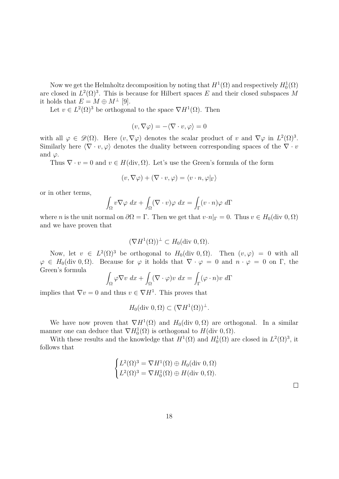Now we get the Helmholtz decomposition by noting that  $H^1(\Omega)$  and respectively  $H_0^1(\Omega)$ are closed in  $L^2(\Omega)^3$ . This is because for Hilbert spaces *E* and their closed subspaces *M* it holds that  $E = M \oplus M^{\perp}$  [\[9\]](#page-51-0).

Let  $v \in L^2(\Omega)^3$  be orthogonal to the space  $\nabla H^1(\Omega)$ . Then

$$
(v,\nabla \varphi)=-\langle \nabla \cdot v, \varphi \rangle=0
$$

with all  $\varphi \in \mathscr{D}(\Omega)$ . Here  $(v, \nabla \varphi)$  denotes the scalar product of *v* and  $\nabla \varphi$  in  $L^2(\Omega)^3$ . Similarly here  $\langle \nabla \cdot v, \varphi \rangle$  denotes the duality between corresponding spaces of the  $\nabla \cdot v$ and  $\varphi$ .

Thus  $\nabla \cdot v = 0$  and  $v \in H(\text{div}, \Omega)$ . Let's use the Green's formula of the form

$$
(v, \nabla \varphi) + (\nabla \cdot v, \varphi) = \langle v \cdot n, \varphi |_{\Gamma} \rangle
$$

or in other terms,

$$
\int_{\Omega} v \nabla \varphi \, dx + \int_{\Omega} (\nabla \cdot v) \varphi \, dx = \int_{\Gamma} (v \cdot n) \varphi \, d\Gamma
$$

where *n* is the unit normal on  $\partial\Omega = \Gamma$ . Then we get that  $v \cdot n|_{\Gamma} = 0$ . Thus  $v \in H_0(\text{div } 0, \Omega)$ and we have proven that

$$
(\nabla H^1(\Omega))^{\perp} \subset H_0(\text{div } 0, \Omega).
$$

Now, let  $v \in L^2(\Omega)^3$  be orthogonal to  $H_0(\text{div } 0, \Omega)$ . Then  $(v, \varphi) = 0$  with all  $\varphi \in H_0(\text{div } 0, \Omega)$ . Because for  $\varphi$  it holds that  $\nabla \cdot \varphi = 0$  and  $n \cdot \varphi = 0$  on  $\Gamma$ , the Green's formula

$$
\int_{\Omega} \varphi \nabla v \, dx + \int_{\Omega} (\nabla \cdot \varphi) v \, dx = \int_{\Gamma} (\varphi \cdot n) v \, d\Gamma
$$

implies that  $\nabla v = 0$  and thus  $v \in \nabla H^1$ . This proves that

$$
H_0(\text{div } 0, \Omega) \subset (\nabla H^1(\Omega))^{\perp}.
$$

We have now proven that  $\nabla H^1(\Omega)$  and  $H_0(\text{div } 0, \Omega)$  are orthogonal. In a similar manner one can deduce that  $\nabla H_0^1(\Omega)$  is orthogonal to  $H(\text{div } 0, \Omega)$ .

With these results and the knowledge that  $H^1(\Omega)$  and  $H_0^1(\Omega)$  are closed in  $L^2(\Omega)^3$ , it follows that

$$
\begin{cases}\nL^2(\Omega)^3 = \nabla H^1(\Omega) \oplus H_0(\text{div } 0, \Omega) \\
L^2(\Omega)^3 = \nabla H_0^1(\Omega) \oplus H(\text{div } 0, \Omega).\n\end{cases}
$$

 $\Box$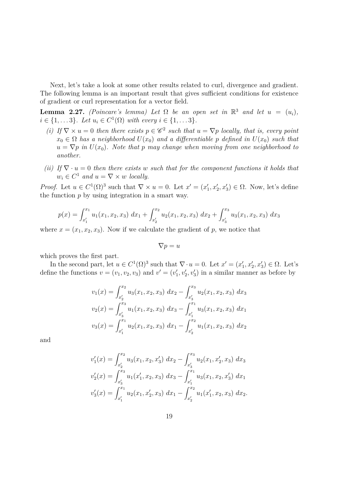Next, let's take a look at some other results related to curl, divergence and gradient. The following lemma is an important result that gives sufficient conditions for existence of gradient or curl representation for a vector field.

<span id="page-20-0"></span>**Lemma 2.27.** *(Poincare's lemma) Let*  $\Omega$  *be an open set in*  $\mathbb{R}^3$  *and let*  $u = (u_i)$ *,*  $i \in \{1, \ldots 3\}$ *. Let*  $u_i \in C^1(\Omega)$  *with every*  $i \in \{1, \ldots 3\}$ *.* 

- *(i)* If  $\nabla \times u = 0$  then there exists  $p \in \mathscr{C}^2$  such that  $u = \nabla p$  locally, that is, every point  $x_0 \in \Omega$  *has a neighborhood*  $U(x_0)$  *and a differentiable p defined in*  $U(x_0)$  *such that*  $u = \nabla p$  *in*  $U(x_0)$ *. Note that*  $p$  *may change when moving from one neighborhood to another.*
- *(ii)* If  $\nabla \cdot u = 0$  *then there exists w such that for the component functions it holds that*  $w_i \in C^1$  *and*  $u = \nabla \times w$  *locally.*

*Proof.* Let  $u \in C^1(\Omega)^3$  such that  $\nabla \times u = 0$ . Let  $x' = (x'_1, x'_2, x'_3) \in \Omega$ . Now, let's define the function *p* by using integration in a smart way.

$$
p(x) = \int_{x_1'}^{x_1} u_1(x_1, x_2, x_3) dx_1 + \int_{x_2'}^{x_2} u_2(x_1, x_2, x_3) dx_2 + \int_{x_3'}^{x_3} u_3(x_1, x_2, x_3) dx_3
$$

where  $x = (x_1, x_2, x_3)$ . Now if we calculate the gradient of p, we notice that

$$
\nabla p = u
$$

which proves the first part.

In the second part, let  $u \in C^1(\Omega)^3$  such that  $\nabla \cdot u = 0$ . Let  $x' = (x'_1, x'_2, x'_3) \in \Omega$ . Let's define the functions  $v = (v_1, v_2, v_3)$  and  $v' = (v'_1, v'_2, v'_3)$  in a similar manner as before by

$$
v_1(x) = \int_{x'_2}^{x_2} u_3(x_1, x_2, x_3) dx_2 - \int_{x'_3}^{x_3} u_2(x_1, x_2, x_3) dx_3
$$
  

$$
v_2(x) = \int_{x'_3}^{x_3} u_1(x_1, x_2, x_3) dx_3 - \int_{x'_1}^{x_1} u_3(x_1, x_2, x_3) dx_1
$$
  

$$
v_3(x) = \int_{x'_1}^{x_1} u_2(x_1, x_2, x_3) dx_1 - \int_{x'_2}^{x_2} u_1(x_1, x_2, x_3) dx_2
$$

and

$$
v'_1(x) = \int_{x'_2}^{x_2} u_3(x_1, x_2, x'_3) dx_2 - \int_{x'_3}^{x_3} u_2(x_1, x'_2, x_3) dx_3
$$
  

$$
v'_2(x) = \int_{x'_3}^{x_3} u_1(x'_1, x_2, x_3) dx_3 - \int_{x'_1}^{x_1} u_3(x_1, x_2, x'_3) dx_1
$$
  

$$
v'_3(x) = \int_{x'_1}^{x_1} u_2(x_1, x'_2, x_3) dx_1 - \int_{x'_2}^{x_2} u_1(x'_1, x_2, x_3) dx_2.
$$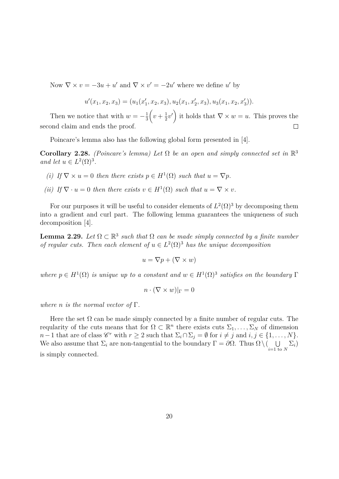Now  $\nabla \times v = -3u + u'$  and  $\nabla \times v' = -2u'$  where we define *u'* by

$$
u'(x_1, x_2, x_3) = (u_1(x'_1, x_2, x_3), u_2(x_1, x'_2, x_3), u_3(x_1, x_2, x'_3)).
$$

 $\left(v+\frac{1}{2}\right)$  $(\frac{1}{2}v')$  it holds that  $\nabla \times w = u$ . This proves the Then we notice that with  $w = -\frac{1}{3}$ 3 second claim and ends the proof.  $\Box$ 

Poincare's lemma also has the following global form presented in [\[4\]](#page-51-3).

**Corollary 2.28.** *(Poincare's lemma)* Let  $\Omega$  be an open and simply connected set in  $\mathbb{R}^3$ *and let*  $u \in L^2(\Omega)^3$ *.* 

- *(i) If*  $\nabla \times u = 0$  *then there exists*  $p \in H^1(\Omega)$  *such that*  $u = \nabla p$ *.*
- *(ii) If*  $\nabla \cdot u = 0$  *then there exists*  $v \in H^1(\Omega)$  *such that*  $u = \nabla \times v$ *.*

For our purposes it will be useful to consider elements of  $L^2(\Omega)^3$  by decomposing them into a gradient and curl part. The following lemma guarantees the uniqueness of such decomposition [\[4\]](#page-51-3).

**Lemma 2.29.** Let  $\Omega \subset \mathbb{R}^3$  such that  $\Omega$  can be made simply connected by a finite number *of regular cuts. Then each element of*  $u \in L^2(\Omega)^3$  *has the unique decomposition* 

$$
u = \nabla p + (\nabla \times w)
$$

*where*  $p \in H^1(\Omega)$  *is unique up to a constant and*  $w \in H^1(\Omega)$ <sup>3</sup> *satisfies on the boundary*  $\Gamma$ 

$$
n \cdot (\nabla \times w)|_{\Gamma} = 0
$$

*where n is the normal vector of* Γ*.*

Here the set  $\Omega$  can be made simply connected by a finite number of regular cuts. The reqularity of the cuts means that for  $\Omega \subset \mathbb{R}^n$  there exists cuts  $\Sigma_1, \ldots, \Sigma_N$  of dimension *n*−1 that are of class  $\mathscr{C}^r$  with  $r \geq 2$  such that  $\Sigma_i \cap \Sigma_j = \emptyset$  for  $i \neq j$  and  $i, j \in \{1, ..., N\}$ . We also assume that  $\Sigma_i$  are non-tangential to the boundary  $\Gamma = \partial \Omega$ . Thus  $\Omega \setminus (\square \cup \square)$  $\bigcup_{i=1 \text{ to } N} \Sigma_i$ is simply connected.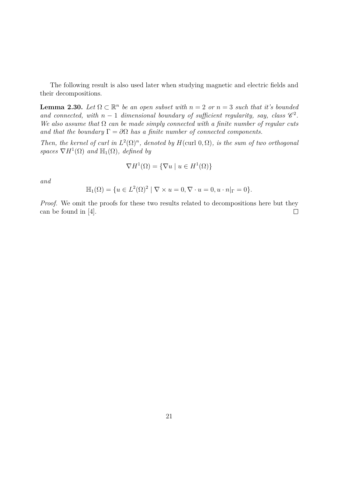The following result is also used later when studying magnetic and electric fields and their decompositions.

<span id="page-22-0"></span>**Lemma 2.30.** Let  $\Omega \subset \mathbb{R}^n$  be an open subset with  $n = 2$  or  $n = 3$  such that it's bounded *and connected, with*  $n-1$  *dimensional boundary of sufficient regularity, say, class*  $\mathscr{C}^2$ . *We also assume that* Ω *can be made simply connected with a finite number of regular cuts and that the boundary*  $\Gamma = \partial \Omega$  *has a finite number of connected components.* 

*Then, the kernel of curl in*  $L^2(\Omega)^n$ *, denoted by*  $H$ (curl 0*,*  $\Omega$ *), is the sum of two orthogonal* spaces  $\nabla H^1(\Omega)$  *and*  $\mathbb{H}_1(\Omega)$ *, defined by* 

$$
\nabla H^{1}(\Omega) = \{ \nabla u \mid u \in H^{1}(\Omega) \}
$$

*and*

$$
\mathbb{H}_1(\Omega) = \{ u \in L^2(\Omega)^2 \mid \nabla \times u = 0, \nabla \cdot u = 0, u \cdot n |_{\Gamma} = 0 \}.
$$

*Proof.* We omit the proofs for these two results related to decompositions here but they can be found in [\[4\]](#page-51-3).  $\Box$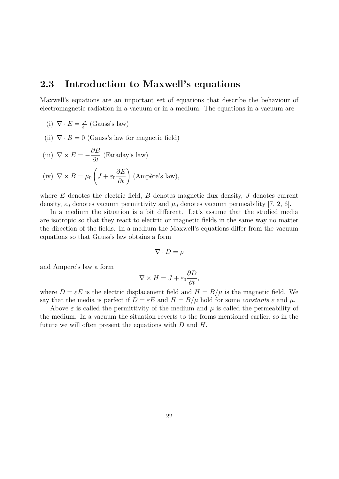### <span id="page-23-0"></span>**2.3 Introduction to Maxwell's equations**

Maxwell's equations are an important set of equations that describe the behaviour of electromagnetic radiation in a vacuum or in a medium. The equations in a vacuum are

- $(i)$   $\nabla \cdot E = \frac{\rho}{\epsilon}$ *ε*0 (Gauss's law)
- (ii)  $\nabla \cdot B = 0$  (Gauss's law for magnetic field)

(iii) 
$$
\nabla \times E = -\frac{\partial B}{\partial t}
$$
 (Faraday's law)  
(iv)  $\nabla \times B = \mu_0 \left( J + \varepsilon_0 \frac{\partial E}{\partial t} \right)$  (Ampère's law),

where *E* denotes the electric field, *B* denotes magnetic flux density, *J* denotes current density,  $\varepsilon_0$  denotes vacuum permittivity and  $\mu_0$  denotes vacuum permeability [\[7,](#page-51-4) [2,](#page-51-5) [6\]](#page-51-6).

In a medium the situation is a bit different. Let's assume that the studied media are isotropic so that they react to electric or magnetic fields in the same way no matter the direction of the fields. In a medium the Maxwell's equations differ from the vacuum equations so that Gauss's law obtains a form

$$
\nabla \cdot D = \rho
$$

and Ampere's law a form

$$
\nabla \times H = J + \varepsilon_0 \frac{\partial D}{\partial t},
$$

where  $D = \varepsilon E$  is the electric displacement field and  $H = B/\mu$  is the magnetic field. We say that the media is perfect if  $D = \varepsilon E$  and  $H = B/\mu$  hold for some *constants*  $\varepsilon$  and  $\mu$ .

Above  $\varepsilon$  is called the permittivity of the medium and  $\mu$  is called the permeability of the medium. In a vacuum the situation reverts to the forms mentioned earlier, so in the future we will often present the equations with *D* and *H*.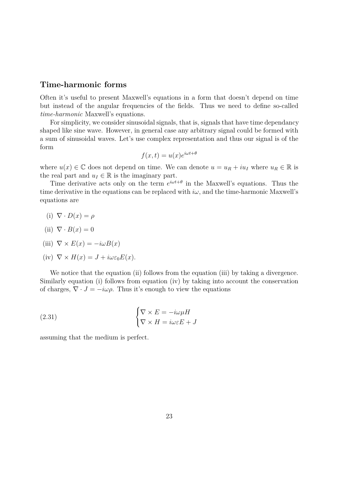### <span id="page-24-0"></span>**Time-harmonic forms**

Often it's useful to present Maxwell's equations in a form that doesn't depend on time but instead of the angular frequencies of the fields. Thus we need to define so-called *time-harmonic* Maxwell's equations.

For simplicity, we consider sinusoidal signals, that is, signals that have time dependancy shaped like sine wave. However, in general case any arbitrary signal could be formed with a sum of sinusoidal waves. Let's use complex representation and thus our signal is of the form

$$
f(x,t) = u(x)e^{i\omega t + \theta}
$$

where  $u(x) \in \mathbb{C}$  does not depend on time. We can denote  $u = u_R + i u_I$  where  $u_R \in \mathbb{R}$  is the real part and  $u_I \in \mathbb{R}$  is the imaginary part.

Time derivative acts only on the term  $e^{i\omega t + \theta}$  in the Maxwell's equations. Thus the time derivative in the equations can be replaced with  $i\omega$ , and the time-harmonic Maxwell's equations are

(i)  $\nabla \cdot D(x) = \rho$ 

(ii) 
$$
\nabla \cdot B(x) = 0
$$

(iii) 
$$
\nabla \times E(x) = -i\omega B(x)
$$

(iv) 
$$
\nabla \times H(x) = J + i\omega \varepsilon_0 E(x)
$$
.

We notice that the equation (ii) follows from the equation (iii) by taking a divergence. Similarly equation (i) follows from equation (iv) by taking into account the conservation of charges,  $\nabla \cdot J = -i\omega \rho$ . Thus it's enough to view the equations

(2.31) 
$$
\begin{cases} \nabla \times E = -i\omega\mu H\\ \nabla \times H = i\omega \varepsilon E + J \end{cases}
$$

assuming that the medium is perfect.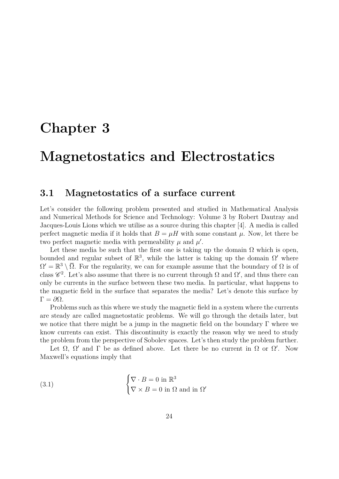## <span id="page-25-0"></span>**Chapter 3**

## **Magnetostatics and Electrostatics**

### <span id="page-25-1"></span>**3.1 Magnetostatics of a surface current**

Let's consider the following problem presented and studied in Mathematical Analysis and Numerical Methods for Science and Technology: Volume 3 by Robert Dautray and Jacques-Louis Lions which we utilise as a source during this chapter [\[4\]](#page-51-3). A media is called perfect magnetic media if it holds that  $B = \mu H$  with some constant  $\mu$ . Now, let there be two perfect magnetic media with permeability  $\mu$  and  $\mu'$ .

Let these media be such that the first one is taking up the domain  $\Omega$  which is open, bounded and regular subset of  $\mathbb{R}^3$ , while the latter is taking up the domain  $\Omega'$  where  $\Omega' = \mathbb{R}^3 \setminus \overline{\Omega}$ . For the regularity, we can for example assume that the boundary of  $\Omega$  is of class  $\mathscr{C}^2$ . Let's also assume that there is no current through  $\Omega$  and  $\Omega'$ , and thus there can only be currents in the surface between these two media. In particular, what happens to the magnetic field in the surface that separates the media? Let's denote this surface by  $\Gamma = \partial \Omega$ .

Problems such as this where we study the magnetic field in a system where the currents are steady are called magnetostatic problems. We will go through the details later, but we notice that there might be a jump in the magnetic field on the boundary Γ where we know currents can exist. This discontinuity is exactly the reason why we need to study the problem from the perspective of Sobolev spaces. Let's then study the problem further.

Let  $\Omega$ ,  $\Omega'$  and  $\Gamma$  be as defined above. Let there be no current in  $\Omega$  or  $\Omega'$ . Now Maxwell's equations imply that

<span id="page-25-2"></span>(3.1) 
$$
\begin{cases} \nabla \cdot B = 0 \text{ in } \mathbb{R}^3 \\ \nabla \times B = 0 \text{ in } \Omega \text{ and in } \Omega' \end{cases}
$$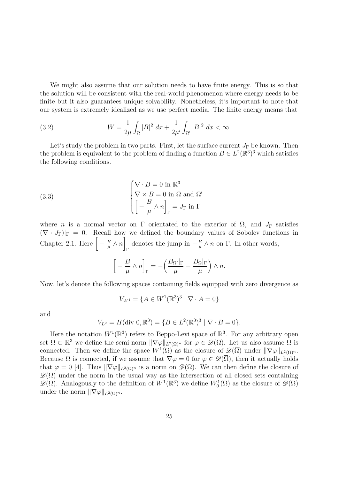We might also assume that our solution needs to have finite energy. This is so that the solution will be consistent with the real-world phenomenon where energy needs to be finite but it also guarantees unique solvability. Nonetheless, it's important to note that our system is extremely idealized as we use perfect media. The finite energy means that

<span id="page-26-0"></span>(3.2) 
$$
W = \frac{1}{2\mu} \int_{\Omega} |B|^2 dx + \frac{1}{2\mu'} \int_{\Omega'} |B|^2 dx < \infty.
$$

Let's study the problem in two parts. First, let the surface current  $J_{\Gamma}$  be known. Then the problem is equivalent to the problem of finding a function  $B \in L^2(\mathbb{R}^3)^3$  which satisfies the following conditions.

(3.3) 
$$
\begin{cases} \nabla \cdot B = 0 \text{ in } \mathbb{R}^3 \\ \nabla \times B = 0 \text{ in } \Omega \text{ and } \Omega' \\ \n\begin{bmatrix} B \\ -\frac{B}{\mu} \wedge n \end{bmatrix}_{\Gamma} = J_{\Gamma} \text{ in } \Gamma \end{cases}
$$

where *n* is a normal vector on  $\Gamma$  orientated to the exterior of  $\Omega$ , and  $J_{\Gamma}$  satisfies  $(\nabla \cdot J_{\Gamma})|_{\Gamma} = 0$ . Recall how we defined the boundary values of Sobolev functions in Chapter [2.1.](#page-4-1) Here  $\left[-\frac{B}{\mu}\right]$  $\frac{B}{\mu} \wedge n$ Γ denotes the jump in  $-\frac{B}{\mu}$  $\frac{B}{\mu} \wedge n$  on  $\Gamma$ . In other words,

<span id="page-26-1"></span>
$$
\label{eq:3.1} \left[ \, -\, \frac{B}{\mu} \wedge n \right]_{\Gamma} = - \Big( \frac{B_{\Omega'}|_{\Gamma}}{\mu} - \frac{B_{\Omega}|_{\Gamma}}{\mu} \Big) \wedge n.
$$

Now, let's denote the following spaces containing fields equipped with zero divergence as

$$
V_{W^1} = \{ A \in W^1(\mathbb{R}^3)^3 \mid \nabla \cdot A = 0 \}
$$

and

$$
V_{L^2} = H(\text{div } 0, \mathbb{R}^3) = \{ B \in L^2(\mathbb{R}^3)^3 \mid \nabla \cdot B = 0 \}.
$$

Here the notation  $W^1(\mathbb{R}^3)$  refers to Beppo-Levi space of  $\mathbb{R}^3$ . For any arbitrary open set  $\Omega \subset \mathbb{R}^3$  we define the semi-norm  $\|\nabla \varphi\|_{L^2(\Omega)^n}$  for  $\varphi \in \mathscr{D}(\overline{\Omega})$ . Let us also assume  $\Omega$  is connected. Then we define the space  $W^1(\Omega)$  as the closure of  $\mathscr{D}(\overline{\Omega})$  under  $\|\nabla \varphi\|_{L^2(\Omega)^n}$ . Because  $\Omega$  is connected, if we assume that  $\nabla \varphi = 0$  for  $\varphi \in \mathscr{D}(\overline{\Omega})$ , then it actually holds that  $\varphi = 0$  [\[4\]](#page-51-3). Thus  $\|\nabla \varphi\|_{L^2(\Omega)^n}$  is a norm on  $\mathscr{D}(\overline{\Omega})$ . We can then define the closure of  $\mathscr{D}(\Omega)$  under the norm in the usual way as the intersection of all closed sets containing  $\mathscr{D}(\overline{\Omega})$ . Analogously to the definition of  $W^1(\mathbb{R}^3)$  we define  $W_0^1(\Omega)$  as the closure of  $\mathscr{D}(\Omega)$ under the norm  $\|\nabla \varphi\|_{L^2(\Omega)^n}$ .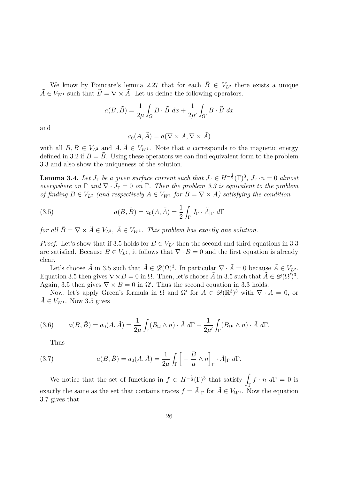We know by Poincare's lemma [2.27](#page-20-0) that for each  $\tilde{B} \in V_{L^2}$  there exists a unique  $\widetilde{A} \in V_{W^1}$  such that  $\widetilde{B} = \nabla \times \widetilde{A}$ . Let us define the following operators.

$$
a(B, \tilde{B}) = \frac{1}{2\mu} \int_{\Omega} B \cdot \tilde{B} \, dx + \frac{1}{2\mu'} \int_{\Omega'} B \cdot \tilde{B} \, dx
$$

and

$$
a_0(A, \tilde{A}) = a(\nabla \times A, \nabla \times \tilde{A})
$$

with all  $B, \tilde{B} \in V_{L^2}$  and  $A, \tilde{A} \in V_{W^1}$ . Note that *a* corresponds to the magnetic energy defined in [3.2](#page-26-0) if  $B = B$ . Using these operators we can find equivalent form to the problem [3.3](#page-26-1) and also show the uniqueness of the solution.

<span id="page-27-2"></span>**Lemma 3.4.** Let  $J_{\Gamma}$  be a given surface current such that  $J_{\Gamma} \in H^{-\frac{1}{2}}(\Gamma)^3$ ,  $J_{\Gamma} \cdot n = 0$  almost *everywhere on*  $\Gamma$  *and*  $\nabla \cdot J_{\Gamma} = 0$  *on*  $\Gamma$ *. Then the problem [3.3](#page-26-1) is equivalent to the problem of finding*  $B \in V_{L^2}$  *(and respectively*  $A \in V_{W^1}$  *for*  $B = \nabla \times A$ *) satisfying the condition* 

<span id="page-27-0"></span>(3.5) 
$$
a(B, \tilde{B}) = a_0(A, \tilde{A}) = \frac{1}{2} \int_{\Gamma} J_{\Gamma} \cdot \tilde{A}|_{\Gamma} d\Gamma
$$

*for all*  $\widetilde{B} = \nabla \times \widetilde{A} \in V_{L^2}, \ \widetilde{A} \in V_{W^1}.$  *This problem has exactly one solution.* 

*Proof.* Let's show that if [3.5](#page-27-0) holds for  $B \in V_{L^2}$  then the second and third equations in [3.3](#page-26-1) are satisfied. Because  $B \in V_{L^2}$ , it follows that  $\nabla \cdot B = 0$  and the first equation is already clear.

Let's choose  $\tilde{A}$  in [3.5](#page-27-0) such that  $\tilde{A} \in \mathcal{D}(\Omega)^3$ . In particular  $\nabla \cdot \tilde{A} = 0$  because  $\tilde{A} \in V_{L^2}$ . Equation [3.5](#page-27-0) then gives  $\nabla \times B = 0$  in  $\Omega$ . Then, let's choose  $\tilde{A}$  in 3.5 such that  $\tilde{A} \in \mathscr{D}(\Omega')^3$ . Again, [3.5](#page-27-0) then gives  $\nabla \times B = 0$  in  $\Omega'$ . Thus the second equation in [3.3](#page-26-1) holds.

Now, let's apply Green's formula in Ω and Ω' for  $\tilde{A} \in \mathscr{D}(\mathbb{R}^3)^3$  with  $\nabla \cdot \tilde{A} = 0$ , or  $A \in V_{W^1}$ . Now [3.5](#page-27-0) gives

(3.6) 
$$
a(B,\tilde{B}) = a_0(A,\tilde{A}) = \frac{1}{2\mu} \int_{\Gamma} (B_{\Omega} \wedge n) \cdot \tilde{A} d\Gamma - \frac{1}{2\mu'} \int_{\Gamma} (B_{\Omega'} \wedge n) \cdot \tilde{A} d\Gamma.
$$

<span id="page-27-1"></span>Thus

(3.7) 
$$
a(B, \tilde{B}) = a_0(A, \tilde{A}) = \frac{1}{2\mu} \int_{\Gamma} \left[ -\frac{B}{\mu} \wedge n \right]_{\Gamma} \cdot \tilde{A}|_{\Gamma} d\Gamma.
$$

We notice that the set of functions in  $f \in H^{-\frac{1}{2}}(\Gamma)^3$  that satisfy  $\int_{\Gamma} f \cdot n \ d\Gamma = 0$  is exactly the same as the set that contains traces  $f = \tilde{A}|_{\Gamma}$  for  $\tilde{A} \in V_{W^1}$ . Now the equation [3.7](#page-27-1) gives that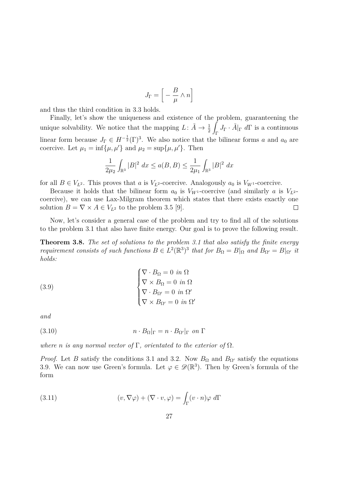$$
J_{\Gamma} = \left[ \ -\frac{B}{\mu} \wedge n \right]
$$

and thus the third condition in [3.3](#page-26-1) holds.

Finally, let's show the uniqueness and existence of the problem, guaranteening the unique solvability. We notice that the mapping  $L: \tilde{A} \to \frac{1}{2}$ **Z**  $\int_{\Gamma} J_{\Gamma} \cdot \tilde{A}|_{\Gamma} d\Gamma$  is a continuous linear form because  $J_{\Gamma} \in H^{-\frac{1}{2}}(\Gamma)^3$ . We also notice that the bilinear forms *a* and *a*<sub>0</sub> are coercive. Let  $\mu_1 = \inf{\mu, \mu'}$  and  $\mu_2 = \sup{\mu, \mu'}$ . Then

$$
\frac{1}{2\mu_2} \int_{\mathbb{R}^3} |B|^2 \, dx \le a(B, B) \le \frac{1}{2\mu_1} \int_{\mathbb{R}^3} |B|^2 \, dx
$$

for all  $B \in V_{L^2}$ . This proves that *a* is  $V_{L^2}$ -coercive. Analogously  $a_0$  is  $V_{W^1}$ -coercive.

Because it holds that the bilinear form  $a_0$  is  $V_{W^1}$ -coercive (and similarly *a* is  $V_{L^2}$ coercive), we can use Lax-Milgram theorem which states that there exists exactly one solution  $B = \nabla \times A \in V_{L^2}$  to the problem [3.5](#page-27-0) [\[9\]](#page-51-0).  $\Box$ 

Now, let's consider a general case of the problem and try to find all of the solutions to the problem [3.1](#page-25-2) that also have finite energy. Our goal is to prove the following result.

<span id="page-28-2"></span>**Theorem 3.8.** *The set of solutions to the problem [3.1](#page-25-2) that also satisfy the finite energy requirement consists of such functions*  $B \in L^2(\mathbb{R}^3)^3$  *that for*  $B_{\Omega} = B|_{\Omega}$  *and*  $B_{\Omega'} = B|_{\Omega'}$  *it holds:*

<span id="page-28-0"></span>(3.9)  

$$
\begin{cases} \nabla \cdot B_{\Omega} = 0 \text{ in } \Omega \\ \nabla \times B_{\Omega} = 0 \text{ in } \Omega \\ \nabla \cdot B_{\Omega'} = 0 \text{ in } \Omega' \\ \nabla \times B_{\Omega'} = 0 \text{ in } \Omega' \end{cases}
$$

*and*

<span id="page-28-1"></span>(3.10) 
$$
n \cdot B_{\Omega}|_{\Gamma} = n \cdot B_{\Omega'}|_{\Gamma} \text{ on } \Gamma
$$

*where n is any normal vector of*  $\Gamma$ *, orientated to the exterior of*  $\Omega$ *.* 

*Proof.* Let *B* satisfy the conditions [3.1](#page-25-2) and [3.2.](#page-26-0) Now  $B_{\Omega}$  and  $B_{\Omega}$  satisfy the equations [3.9.](#page-28-0) We can now use Green's formula. Let  $\varphi \in \mathscr{D}(\mathbb{R}^3)$ . Then by Green's formula of the form

(3.11) 
$$
(v, \nabla \varphi) + (\nabla \cdot v, \varphi) = \int_{\Gamma} (v \cdot n) \varphi \ d\Gamma
$$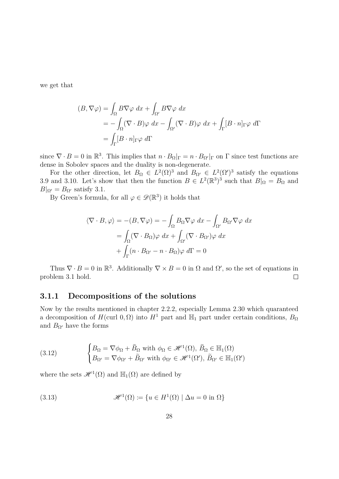we get that

$$
(B, \nabla \varphi) = \int_{\Omega} B \nabla \varphi \, dx + \int_{\Omega'} B \nabla \varphi \, dx
$$
  
=  $-\int_{\Omega} (\nabla \cdot B) \varphi \, dx - \int_{\Omega'} (\nabla \cdot B) \varphi \, dx + \int_{\Gamma} [B \cdot n]_{\Gamma} \varphi \, d\Gamma$   
=  $\int_{\Gamma} [B \cdot n]_{\Gamma} \varphi \, d\Gamma$ 

since  $\nabla \cdot B = 0$  in  $\mathbb{R}^3$ . This implies that  $n \cdot B_{\Omega}|_{\Gamma} = n \cdot B_{\Omega'}|_{\Gamma}$  on  $\Gamma$  since test functions are dense in Sobolev spaces and the duality is non-degenerate.

For the other direction, let  $B_{\Omega} \in L^2(\Omega)^3$  and  $B_{\Omega'} \in L^2(\Omega')^3$  satisfy the equations [3.9](#page-28-0) and [3.10.](#page-28-1) Let's show that then the function  $B \in L^2(\mathbb{R}^3)^3$  such that  $B|_{\Omega} = B_{\Omega}$  and  $B|_{\Omega'} = B_{\Omega'}$  satisfy [3.1.](#page-25-2)

By Green's formula, for all  $\varphi \in \mathscr{D}(\mathbb{R}^3)$  it holds that

$$
\langle \nabla \cdot B, \varphi \rangle = -(B, \nabla \varphi) = -\int_{\Omega} B_{\Omega} \nabla \varphi \, dx - \int_{\Omega'} B_{\Omega'} \nabla \varphi \, dx
$$

$$
= \int_{\Omega} (\nabla \cdot B_{\Omega}) \varphi \, dx + \int_{\Omega'} (\nabla \cdot B_{\Omega'}) \varphi \, dx
$$

$$
+ \int_{\Gamma} (n \cdot B_{\Omega'} - n \cdot B_{\Omega}) \varphi \, d\Gamma = 0
$$

Thus  $\nabla \cdot B = 0$  in  $\mathbb{R}^3$ . Additionally  $\nabla \times B = 0$  in  $\Omega$  and  $\Omega'$ , so the set of equations in problem [3.1](#page-25-2) hold.  $\Box$ 

### <span id="page-29-0"></span>**3.1.1 Decompositions of the solutions**

Now by the results mentioned in chapter [2.2.2,](#page-17-0) especially Lemma [2.30](#page-22-0) which quaranteed a decomposition of *H*(curl 0, Ω) into *H*<sup>1</sup> part and  $\mathbb{H}_1$  part under certain conditions, *B*<sub>Ω</sub> and  $B_{\Omega}$ <sup>*l*</sup> have the forms

<span id="page-29-1"></span>(3.12) 
$$
\begin{cases} B_{\Omega} = \nabla \phi_{\Omega} + \tilde{B}_{\Omega} \text{ with } \phi_{\Omega} \in \mathcal{H}^{1}(\Omega), \ \tilde{B}_{\Omega} \in \mathbb{H}_{1}(\Omega) \\ B_{\Omega'} = \nabla \phi_{\Omega'} + \tilde{B}_{\Omega'} \text{ with } \phi_{\Omega'} \in \mathcal{H}^{1}(\Omega'), \ \tilde{B}_{\Omega'} \in \mathbb{H}_{1}(\Omega') \end{cases}
$$

where the sets  $\mathscr{H}^1(\Omega)$  and  $\mathbb{H}_1(\Omega)$  are defined by

<span id="page-29-2"></span>(3.13) 
$$
\mathscr{H}^1(\Omega) \coloneqq \{ u \in H^1(\Omega) \mid \Delta u = 0 \text{ in } \Omega \}
$$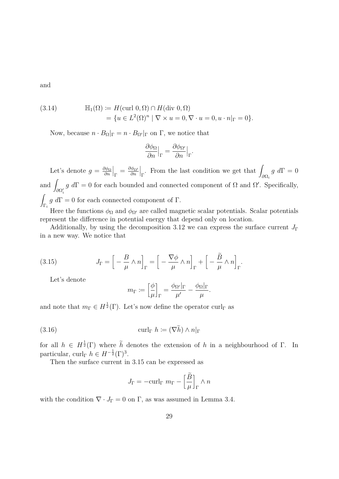and

<span id="page-30-1"></span>(3.14) 
$$
\mathbb{H}_1(\Omega) \coloneqq H(\text{curl } 0, \Omega) \cap H(\text{div } 0, \Omega)
$$

$$
= \{ u \in L^2(\Omega)^n \mid \nabla \times u = 0, \nabla \cdot u = 0, u \cdot n|_{\Gamma} = 0 \}.
$$

Now, because  $n \cdot B_{\Omega}|_{\Gamma} = n \cdot B_{\Omega'}|_{\Gamma}$  on  $\Gamma$ , we notice that

$$
\frac{\partial \phi_{\Omega}}{\partial n}\Big|_{\Gamma} = \frac{\partial \phi_{\Omega'}}{\partial n}\Big|_{\Gamma}.
$$

Let's denote  $g = \frac{\partial \phi_{\Omega}}{\partial n}$ *∂n*  $\Big|_{\Gamma} = \frac{\partial \phi_{\Omega'}}{\partial n}$ *∂n*  $\Big\vert_{\Gamma}.$  From the last condition we get that  $\int$ *∂*Ω*<sup>i</sup>*  $g \, d\Gamma = 0$ and  $\int_{\partial\Omega_i'} g \ d\Gamma = 0$  for each bounded and connected component of  $\Omega$  and  $\Omega'$ . Specifically,  $\int \frac{d^2u}{dx^2}$ Γ*i*  $g d\Gamma = 0$  for each connected component of  $\Gamma$ .

Here the functions  $\phi_{\Omega}$  and  $\phi_{\Omega'}$  are called magnetic scalar potentials. Scalar potentials represent the difference in potential energy that depend only on location.

Additionally, by using the decomposition [3.12](#page-29-1) we can express the surface current  $J_{\Gamma}$ in a new way. We notice that

(3.15) 
$$
J_{\Gamma} = \left[ -\frac{B}{\mu} \wedge n \right]_{\Gamma} = \left[ -\frac{\nabla \phi}{\mu} \wedge n \right]_{\Gamma} + \left[ -\frac{\tilde{B}}{\mu} \wedge n \right]_{\Gamma}.
$$

Let's denote

<span id="page-30-2"></span><span id="page-30-0"></span>
$$
m_{\Gamma} \coloneqq \left[\frac{\phi}{\mu}\right]_{\Gamma} = \frac{\phi_{\Omega'}|_{\Gamma}}{\mu'} - \frac{\phi_{\Omega}|_{\Gamma}}{\mu}.
$$

and note that  $m_{\Gamma} \in H^{\frac{1}{2}}(\Gamma)$ . Let's now define the operator curl<sub>Γ</sub> as

(3.16) 
$$
\operatorname{curl}_{\Gamma} h \coloneqq (\nabla h) \wedge n|_{\Gamma}
$$

for all  $h \in H^{\frac{1}{2}}(\Gamma)$  where  $\tilde{h}$  denotes the extension of *h* in a neighbourhood of Γ. In particular, curl<sub>Γ</sub>  $h \in H^{-\frac{1}{2}}(\Gamma)^3$ .

Then the surface current in [3.15](#page-30-0) can be expressed as

$$
J_{\Gamma} = -\mathrm{curl}_{\Gamma} \ m_{\Gamma} - \left[\frac{\tilde{B}}{\mu}\right]_{\Gamma} \wedge n
$$

with the condition  $\nabla \cdot J_{\Gamma} = 0$  on  $\Gamma$ , as was assumed in Lemma [3.4.](#page-27-2)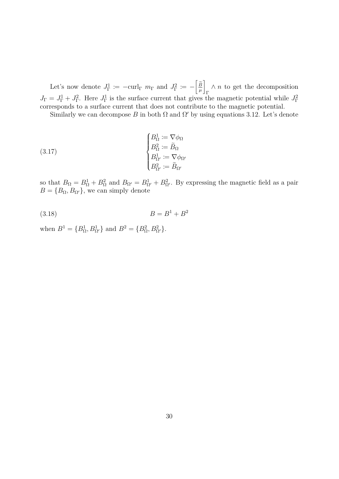Let's now denote  $J_{\Gamma}^1 := -\text{curl}_{\Gamma} m_{\Gamma}$  and  $J_{\Gamma}^2 := -\left[\frac{\widetilde{\beta}}{\mu}\right]$ 1 Γ ∧ *n* to get the decomposition  $J_{\Gamma} = J_{\Gamma}^1 + J_{\Gamma}^2$ . Here  $J_{\Gamma}^1$  is the surface current that gives the magnetic potential while  $J_{\Gamma}^2$ corresponds to a surface current that does not contribute to the magnetic potential.

Similarly we can decompose *B* in both  $\Omega$  and  $\Omega'$  by using equations [3.12.](#page-29-1) Let's denote

(3.17) 
$$
\begin{cases} B_{\Omega}^{1} := \nabla \phi_{\Omega} \\ B_{\Omega}^{2} := \tilde{B}_{\Omega} \\ B_{\Omega'}^{1} := \nabla \phi_{\Omega'} \\ B_{\Omega'}^{2} := \tilde{B}_{\Omega'} \end{cases}
$$

so that  $B_{\Omega} = B_{\Omega}^1 + B_{\Omega}^2$  and  $B_{\Omega'} = B_{\Omega'}^1 + B_{\Omega'}^2$ . By expressing the magnetic field as a pair  $B = \{B_{\Omega}, B_{\Omega'}\},$  we can simply denote

$$
(3.18) \t\t B = B^1 + B^2
$$

when  $B^1 = \{B^1_{\Omega}, B^1_{\Omega'}\}$  and  $B^2 = \{B^2_{\Omega}, B^2_{\Omega'}\}.$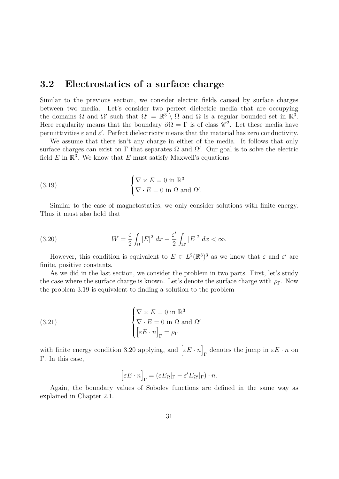### <span id="page-32-0"></span>**3.2 Electrostatics of a surface charge**

Similar to the previous section, we consider electric fields caused by surface charges between two media. Let's consider two perfect dielectric media that are occupying the domains  $\Omega$  and  $\Omega'$  such that  $\Omega' = \mathbb{R}^3 \setminus \overline{\Omega}$  and  $\Omega$  is a regular bounded set in  $\mathbb{R}^3$ . Here regularity means that the boundary  $\partial \Omega = \Gamma$  is of class  $\mathscr{C}^2$ . Let these media have permittivities  $\varepsilon$  and  $\varepsilon'$ . Perfect dielectricity means that the material has zero conductivity.

We assume that there isn't any charge in either of the media. It follows that only surface charges can exist on  $\Gamma$  that separates  $\Omega$  and  $\Omega'$ . Our goal is to solve the electric field  $E$  in  $\mathbb{R}^3$ . We know that  $E$  must satisfy Maxwell's equations

<span id="page-32-1"></span>(3.19) 
$$
\begin{cases} \nabla \times E = 0 \text{ in } \mathbb{R}^3 \\ \nabla \cdot E = 0 \text{ in } \Omega \text{ and } \Omega'. \end{cases}
$$

Similar to the case of magnetostatics, we only consider solutions with finite energy. Thus it must also hold that

<span id="page-32-2"></span>(3.20) 
$$
W = \frac{\varepsilon}{2} \int_{\Omega} |E|^2 dx + \frac{\varepsilon'}{2} \int_{\Omega'} |E|^2 dx < \infty.
$$

However, this condition is equivalent to  $E \in L^2(\mathbb{R}^3)^3$  as we know that  $\varepsilon$  and  $\varepsilon'$  are finite, positive constants.

As we did in the last section, we consider the problem in two parts. First, let's study the case where the surface charge is known. Let's denote the surface charge with  $\rho_{\Gamma}$ . Now the problem [3.19](#page-32-1) is equivalent to finding a solution to the problem

(3.21) 
$$
\begin{cases} \nabla \times E = 0 \text{ in } \mathbb{R}^3 \\ \nabla \cdot E = 0 \text{ in } \Omega \text{ and } \Omega' \\ \left[\varepsilon E \cdot n\right]_{\Gamma} = \rho_{\Gamma} \end{cases}
$$

with finite energy condition [3.20](#page-32-2) applying, and  $\left[\varepsilon E \cdot n\right]$  $\Gamma$ <sup>T</sup> denotes the jump in  $\varepsilon E \cdot n$  on Γ. In this case,

<span id="page-32-3"></span>
$$
[\varepsilon E \cdot n]_{\Gamma} = (\varepsilon E_{\Omega}|_{\Gamma} - \varepsilon' E_{\Omega'}|_{\Gamma}) \cdot n.
$$

Again, the boundary values of Sobolev functions are defined in the same way as explained in Chapter [2.1.](#page-4-1)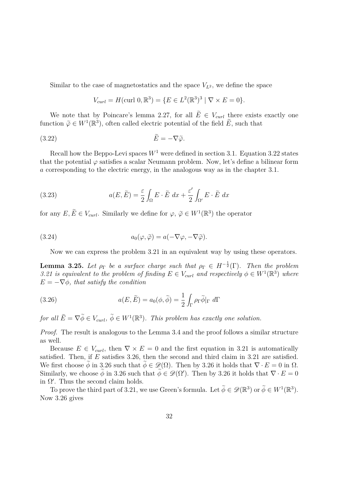Similar to the case of magnetostatics and the space  $V_{L^2}$ , we define the space

<span id="page-33-0"></span>
$$
V_{curl} = H(\text{curl } 0, \mathbb{R}^3) = \{ E \in L^2(\mathbb{R}^3)^3 \mid \nabla \times E = 0 \}.
$$

We note that by Poincare's lemma [2.27,](#page-20-0) for all  $\tilde{E} \in V_{\text{curl}}$  there exists exactly one function  $\tilde{\varphi} \in W^1(\mathbb{R}^3)$ , often called electric potential of the field  $\tilde{E}$ , such that

$$
(3.22)\qquad \qquad \tilde{E} = -\nabla \tilde{\varphi}.
$$

Recall how the Beppo-Levi spaces  $W^1$  were defined in section [3.1.](#page-25-1) Equation [3.22](#page-33-0) states that the potential  $\varphi$  satisfies a scalar Neumann problem. Now, let's define a bilinear form *a* corresponding to the electric energy, in the analogous way as in the chapter [3.1.](#page-25-1)

(3.23) 
$$
a(E, \tilde{E}) = \frac{\varepsilon}{2} \int_{\Omega} E \cdot \tilde{E} dx + \frac{\varepsilon'}{2} \int_{\Omega'} E \cdot \tilde{E} dx
$$

for any  $E, \tilde{E} \in V_{\text{curl}}$ . Similarly we define for  $\varphi, \tilde{\varphi} \in W^1(\mathbb{R}^3)$  the operator

(3.24) 
$$
a_0(\varphi, \tilde{\varphi}) = a(-\nabla \varphi, -\nabla \tilde{\varphi}).
$$

Now we can express the problem [3.21](#page-32-3) in an equivalent way by using these operators.

<span id="page-33-2"></span>**Lemma 3.25.** Let  $\rho_{\Gamma}$  be a surface charge such that  $\rho_{\Gamma} \in H^{-\frac{1}{2}}(\Gamma)$ . Then the problem [3.21](#page-32-3) *is equivalent to the problem of finding*  $E \in V_{\text{curl}}$  *and respectively*  $\phi \in W^1(\mathbb{R}^3)$  *where*  $E = -\nabla \phi$ *, that satisfy the condition* 

<span id="page-33-1"></span>(3.26) 
$$
a(E, \tilde{E}) = a_0(\phi, \tilde{\phi}) = \frac{1}{2} \int_{\Gamma} \rho_{\Gamma} \tilde{\phi}|_{\Gamma} d\Gamma
$$

*for all*  $\widetilde{E} = \nabla \widetilde{\phi} \in V_{\text{curl}}, \ \widetilde{\phi} \in W^1(\mathbb{R}^3)$ *. This problem has exactly one solution.* 

*Proof.* The result is analogous to the Lemma [3.4](#page-27-2) and the proof follows a similar structure as well.

Because  $E \in V_{\text{curl}}$ , then  $\nabla \times E = 0$  and the first equation in [3.21](#page-32-3) is automatically satisfied. Then, if *E* satisfies [3.26,](#page-33-1) then the second and third claim in [3.21](#page-32-3) are satisfied. We first choose  $\phi$  in [3.26](#page-33-1) such that  $\phi \in \mathscr{D}(\Omega)$ . Then by 3.26 it holds that  $\nabla \cdot E = 0$  in  $\Omega$ . Similarly, we choose  $\phi$  in [3.26](#page-33-1) such that  $\phi \in \mathscr{D}(\Omega')$ . Then by 3.26 it holds that  $\nabla \cdot E = 0$ in  $\Omega'$ . Thus the second claim holds.

To prove the third part of [3.21,](#page-32-3) we use Green's formula. Let  $\tilde{\phi} \in \mathscr{D}(\mathbb{R}^3)$  or  $\tilde{\phi} \in W^1(\mathbb{R}^3)$ . Now [3.26](#page-33-1) gives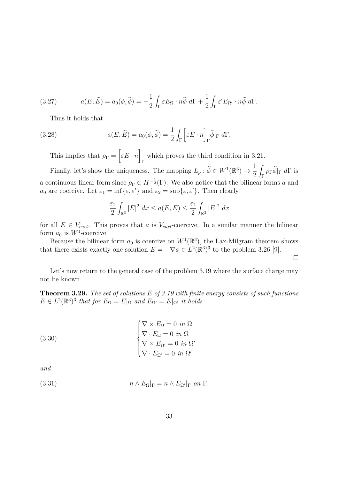(3.27) 
$$
a(E, \tilde{E}) = a_0(\phi, \tilde{\phi}) = -\frac{1}{2} \int_{\Gamma} \varepsilon E_{\Omega} \cdot n \tilde{\phi} \ d\Gamma + \frac{1}{2} \int_{\Gamma} \varepsilon' E_{\Omega'} \cdot n \tilde{\phi} \ d\Gamma.
$$

Thus it holds that

(3.28) 
$$
a(E, \tilde{E}) = a_0(\phi, \tilde{\phi}) = \frac{1}{2} \int_{\Gamma} \left[ \varepsilon E \cdot n \right]_{\Gamma} \tilde{\phi}|_{\Gamma} d\Gamma.
$$

This implies that  $\rho_{\Gamma} = \begin{bmatrix} \varepsilon E \cdot n \end{bmatrix}$ Γ which proves the third condition in [3.21.](#page-32-3)

Finally, let's show the uniqueness. The mapping  $L_p : \tilde{\phi} \in W^1(\mathbb{R}^3) \to \frac{1}{2}$ 2  $\int_{\Gamma} \rho_{\Gamma} \tilde{\phi}|_{\Gamma} d\Gamma$  is a continuous linear form since  $\rho_{\Gamma} \in H^{-\frac{1}{2}}(\Gamma)$ . We also notice that the bilinear forms *a* and *a*<sub>0</sub> are coercive. Let  $\varepsilon_1 = \inf{\{\varepsilon, \varepsilon'\}}$  and  $\varepsilon_2 = \sup{\{\varepsilon, \varepsilon'\}}$ . Then clearly

$$
\frac{\varepsilon_1}{2} \int_{\mathbb{R}^3} |E|^2 \, dx \le a(E, E) \le \frac{\varepsilon_2}{2} \int_{\mathbb{R}^3} |E|^2 \, dx
$$

for all  $E \in V_{\text{curl}}$ . This proves that *a* is  $V_{\text{curl}}$ -coercive. In a similar manner the bilinear form  $a_0$  is  $W^1$ -coercive.

Because the bilinear form  $a_0$  is coercive on  $W^1(\mathbb{R}^3)$ , the Lax-Milgram theorem shows that there exists exactly one solution  $E = -\nabla \phi \in L^2(\mathbb{R}^3)^3$  to the problem [3.26](#page-33-1) [\[9\]](#page-51-0).

 $\Box$ 

Let's now return to the general case of the problem [3.19](#page-32-1) where the surface charge may not be known.

**Theorem 3.29.** *The set of solutions E of [3.19](#page-32-1) with finite energy consists of such functions*  $E \in L^2(\mathbb{R}^3)^3$  *that for*  $E_{\Omega} = E|_{\Omega}$  *and*  $E_{\Omega'} = E|_{\Omega'}$  *it holds* 

<span id="page-34-0"></span>(3.30)  

$$
\begin{cases}\n\nabla \times E_{\Omega} = 0 \text{ in } \Omega \\
\nabla \cdot E_{\Omega} = 0 \text{ in } \Omega \\
\nabla \times E_{\Omega'} = 0 \text{ in } \Omega' \\
\nabla \cdot E_{\Omega'} = 0 \text{ in } \Omega'\n\end{cases}
$$

*and*

<span id="page-34-1"></span>(3.31) 
$$
n \wedge E_{\Omega}|_{\Gamma} = n \wedge E_{\Omega'}|_{\Gamma} \text{ on } \Gamma.
$$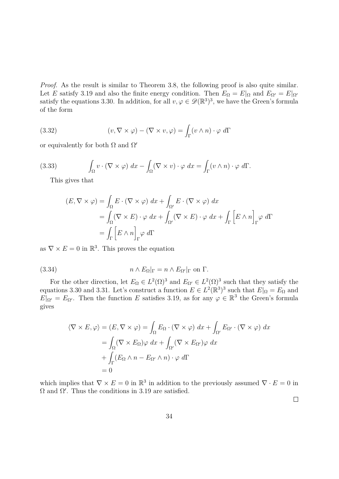*Proof.* As the result is similar to Theorem [3.8,](#page-28-2) the following proof is also quite similar. Let *E* satisfy [3.19](#page-32-1) and also the finite energy condition. Then  $E_{\Omega} = E|_{\Omega}$  and  $E_{\Omega'} = E|_{\Omega'}$ satisfy the equations [3.30.](#page-34-0) In addition, for all  $v, \varphi \in \mathscr{D}(\mathbb{R}^3)^3$ , we have the Green's formula of the form

(3.32) 
$$
(v, \nabla \times \varphi) - (\nabla \times v, \varphi) = \int_{\Gamma} (v \wedge n) \cdot \varphi \ d\Gamma
$$

or equivalently for both  $\Omega$  and  $\Omega'$ 

(3.33) 
$$
\int_{\Omega} v \cdot (\nabla \times \varphi) dx - \int_{\Omega} (\nabla \times v) \cdot \varphi dx = \int_{\Gamma} (v \wedge n) \cdot \varphi d\Gamma.
$$

This gives that

$$
(E, \nabla \times \varphi) = \int_{\Omega} E \cdot (\nabla \times \varphi) dx + \int_{\Omega'} E \cdot (\nabla \times \varphi) dx
$$
  
= 
$$
\int_{\Omega} (\nabla \times E) \cdot \varphi dx + \int_{\Omega'} (\nabla \times E) \cdot \varphi dx + \int_{\Gamma} \left[ E \wedge n \right]_{\Gamma} \varphi d\Gamma
$$
  
= 
$$
\int_{\Gamma} \left[ E \wedge n \right]_{\Gamma} \varphi d\Gamma
$$

as  $\nabla \times E = 0$  in  $\mathbb{R}^3$ . This proves the equation

(3.34) 
$$
n \wedge E_{\Omega}|_{\Gamma} = n \wedge E_{\Omega'}|_{\Gamma} \text{ on } \Gamma.
$$

For the other direction, let  $E_{\Omega} \in L^2(\Omega)^3$  and  $E_{\Omega'} \in L^2(\Omega)^3$  such that they satisfy the equations [3.30](#page-34-0) and [3.31.](#page-34-1) Let's construct a function  $E \in L^2(\mathbb{R}^3)^3$  such that  $E|_{\Omega} = E_{\Omega}$  and  $E|_{\Omega'} = E_{\Omega'}$ . Then the function *E* satisfies [3.19,](#page-32-1) as for any  $\varphi \in \mathbb{R}^3$  the Green's formula gives

$$
\langle \nabla \times E, \varphi \rangle = (E, \nabla \times \varphi) = \int_{\Omega} E_{\Omega} \cdot (\nabla \times \varphi) dx + \int_{\Omega'} E_{\Omega'} \cdot (\nabla \times \varphi) dx
$$
  
= 
$$
\int_{\Omega} (\nabla \times E_{\Omega}) \varphi dx + \int_{\Omega'} (\nabla \times E_{\Omega'}) \varphi dx
$$
  
+ 
$$
\int_{\Gamma} (E_{\Omega} \wedge n - E_{\Omega'} \wedge n) \cdot \varphi d\Gamma
$$
  
= 0

which implies that  $\nabla \times E = 0$  in  $\mathbb{R}^3$  in addition to the previously assumed  $\nabla \cdot E = 0$  in  $\Omega$  and  $\Omega'$ . Thus the conditions in [3.19](#page-32-1) are satisfied.

 $\Box$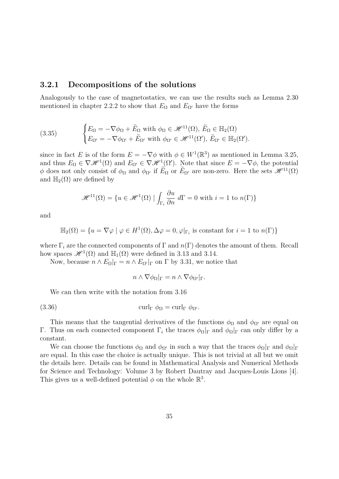#### <span id="page-36-0"></span>**3.2.1 Decompositions of the solutions**

Analogously to the case of magnetostatics, we can use the results such as Lemma [2.30](#page-22-0) mentioned in chapter [2.2.2](#page-17-0) to show that  $E_{\Omega}$  and  $E_{\Omega}$ <sup>*l*</sup> have the forms

<span id="page-36-1"></span>(3.35) 
$$
\begin{cases} E_{\Omega} = -\nabla \phi_{\Omega} + \tilde{E}_{\Omega} \text{ with } \phi_{\Omega} \in \mathscr{H}^{11}(\Omega), \ \tilde{E}_{\Omega} \in \mathbb{H}_{2}(\Omega) \\ E_{\Omega'} = -\nabla \phi_{\Omega'} + \tilde{E}_{\Omega'} \text{ with } \phi_{\Omega'} \in \mathscr{H}^{11}(\Omega'), \ \tilde{E}_{\Omega'} \in \mathbb{H}_{2}(\Omega'). \end{cases}
$$

since in fact *E* is of the form  $E = -\nabla \phi$  with  $\phi \in W^1(\mathbb{R}^3)$  as mentioned in Lemma [3.25,](#page-33-2) and thus  $E_{\Omega} \in \nabla \mathcal{H}^1(\Omega)$  and  $E_{\Omega'} \in \nabla \mathcal{H}^1(\Omega')$ . Note that since  $E = -\nabla \phi$ , the potential *φ* does not only consist of  $φΩ$  and  $φΩ'$  if  $Ẽ_Ω$  or  $Ẽ_Ω'$  are non-zero. Here the sets  $\mathscr{H}^{11}(Ω)$ and  $\mathbb{H}_2(\Omega)$  are defined by

$$
\mathcal{H}^{11}(\Omega) = \{ u \in \mathcal{H}^{1}(\Omega) \mid \int_{\Gamma_i} \frac{\partial u}{\partial n} d\Gamma = 0 \text{ with } i = 1 \text{ to } n(\Gamma) \}
$$

and

$$
\mathbb{H}_2(\Omega) = \{ u = \nabla \varphi \mid \varphi \in H^1(\Omega), \Delta \varphi = 0, \varphi|_{\Gamma_i} \text{ is constant for } i = 1 \text{ to } n(\Gamma) \}
$$

where  $\Gamma_i$  are the connected components of  $\Gamma$  and  $n(\Gamma)$  denotes the amount of them. Recall how spaces  $\mathscr{H}^1(\Omega)$  and  $\mathbb{H}_1(\Omega)$  were defined in [3.13](#page-29-2) and [3.14.](#page-30-1)

Now, because  $n \wedge E_{\Omega}|_{\Gamma} = n \wedge E_{\Omega'}|_{\Gamma}$  on  $\Gamma$  by [3.31,](#page-34-1) we notice that

$$
n \wedge \nabla \phi_{\Omega}|_{\Gamma} = n \wedge \nabla \phi_{\Omega'}|_{\Gamma}.
$$

We can then write with the notation from [3.16](#page-30-2)

(3.36) 
$$
\operatorname{curl}_{\Gamma} \phi_{\Omega} = \operatorname{curl}_{\Gamma} \phi_{\Omega'}.
$$

This means that the tangential derivatives of the functions  $\phi_{\Omega}$  and  $\phi_{\Omega'}$  are equal on Γ. Thus on each connected component  $\Gamma_i$  the traces  $\phi_\Omega|_{\Gamma}$  and  $\phi_\Omega|_{\Gamma}$  can only differ by a constant.

We can choose the functions  $\phi_{\Omega}$  and  $\phi_{\Omega'}$  in such a way that the traces  $\phi_{\Omega}|_{\Gamma}$  and  $\phi_{\Omega}|_{\Gamma}$ are equal. In this case the choice is actually unique. This is not trivial at all but we omit the details here. Details can be found in Mathematical Analysis and Numerical Methods for Science and Technology: Volume 3 by Robert Dautray and Jacques-Louis Lions [\[4\]](#page-51-3). This gives us a well-defined potential  $\phi$  on the whole  $\mathbb{R}^3$ .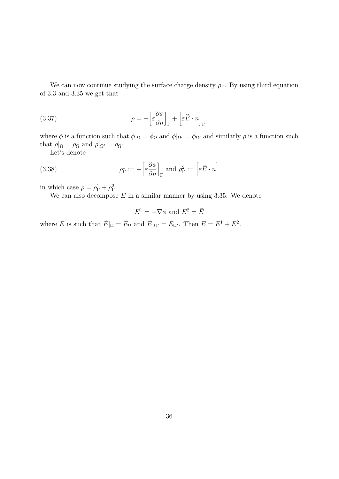We can now continue studying the surface charge density  $\rho_{\Gamma}$ . By using third equation of [3.3](#page-26-1) and [3.35](#page-36-1) we get that

(3.37) 
$$
\rho = -\left[\varepsilon \frac{\partial \phi}{\partial n}\right]_{\Gamma} + \left[\varepsilon \tilde{E} \cdot n\right]_{\Gamma}.
$$

where  $\phi$  is a function such that  $\phi|_{\Omega} = \phi_{\Omega}$  and  $\phi|_{\Omega'} = \phi_{\Omega'}$  and similarly  $\rho$  is a function such that  $\rho|_{\Omega} = \rho_{\Omega}$  and  $\rho|_{\Omega'} = \rho_{\Omega'}$ .

Let's denote

(3.38) 
$$
\rho_{\Gamma}^{1} := -\left[\varepsilon \frac{\partial \phi}{\partial n}\right]_{\Gamma} \text{ and } \rho_{\Gamma}^{2} := \left[\varepsilon \tilde{E} \cdot n\right]
$$

in which case  $\rho = \rho_{\Gamma}^1 + \rho_{\Gamma}^2$ .

We can also decompose *E* in a similar manner by using [3.35.](#page-36-1) We denote

$$
E^1 = -\nabla \phi \text{ and } E^2 = \tilde{E}
$$

where  $\tilde{E}$  is such that  $\tilde{E}|_{\Omega} = \tilde{E}_{\Omega}$  and  $\tilde{E}|_{\Omega'} = \tilde{E}_{\Omega'}$ . Then  $E = E^1 + E^2$ .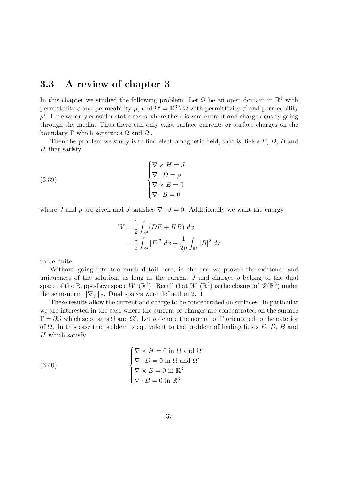### <span id="page-38-0"></span>**3.3 A review of chapter [3](#page-25-0)**

In this chapter we studied the following problem. Let  $\Omega$  be an open domain in  $\mathbb{R}^3$  with permittivity  $\varepsilon$  and permeability  $\mu$ , and  $\Omega' = \mathbb{R}^3 \setminus \overline{\Omega}$  with permittivity  $\varepsilon'$  and permeability  $\mu'$ . Here we only consider static cases where there is zero current and charge density going through the media. Thus there can only exist surface currents or surface charges on the boundary  $\Gamma$  which separates  $\Omega$  and  $\Omega'$ .

Then the problem we study is to find electromagnetic field, that is, fields *E*, *D*, *B* and *H* that satisfy

(3.39)  

$$
\begin{cases} \nabla \times H = J \\ \nabla \cdot D = \rho \\ \nabla \times E = 0 \\ \nabla \cdot B = 0 \end{cases}
$$

where *J* and  $\rho$  are given and *J* satisfies  $\nabla \cdot J = 0$ . Additionally we want the energy

$$
W = \frac{1}{2} \int_{\mathbb{R}^3} (DE + HB) \, dx
$$
  
=  $\frac{\varepsilon}{2} \int_{\mathbb{R}^3} |E|^2 \, dx + \frac{1}{2\mu} \int_{\mathbb{R}^3} |B|^2 \, dx$ 

to be finite.

Without going into too much detail here, in the end we proved the existence and uniqueness of the solution, as long as the current *J* and charges  $\rho$  belong to the dual space of the Beppo-Levi space  $W^1(\mathbb{R}^3)$ . Recall that  $W^1(\mathbb{R}^3)$  is the closure of  $\mathscr{D}(\mathbb{R}^3)$  under the semi-norm  $\|\nabla \varphi\|_2$ . Dual spaces were defined in [2.11.](#page-10-0)

These results allow the current and charge to be concentrated on surfaces. In particular we are interested in the case where the current or charges are concentrated on the surface  $\Gamma = \partial \Omega$  which separates  $\Omega$  and  $\Omega'$ . Let *n* denote the normal of  $\Gamma$  orientated to the exterior of Ω. In this case the problem is equivalent to the problem of finding fields *E*, *D*, *B* and *H* which satisfy

(3.40)  

$$
\begin{cases} \nabla \times H = 0 \text{ in } \Omega \text{ and } \Omega' \\ \nabla \cdot D = 0 \text{ in } \Omega \text{ and } \Omega' \\ \nabla \times E = 0 \text{ in } \mathbb{R}^3 \\ \nabla \cdot B = 0 \text{ in } \mathbb{R}^3 \end{cases}
$$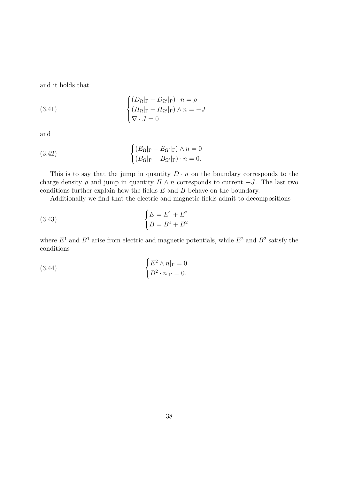and it holds that

(3.41) 
$$
\begin{cases} (D_{\Omega}|_{\Gamma} - D_{\Omega'}|_{\Gamma}) \cdot n = \rho \\ (H_{\Omega}|_{\Gamma} - H_{\Omega'}|_{\Gamma}) \wedge n = -J \\ \nabla \cdot J = 0 \end{cases}
$$

and

(3.42) 
$$
\begin{cases} (E_{\Omega}|_{\Gamma} - E_{\Omega'}|_{\Gamma}) \wedge n = 0\\ (B_{\Omega}|_{\Gamma} - B_{\Omega'}|_{\Gamma}) \cdot n = 0. \end{cases}
$$

This is to say that the jump in quantity  $D \cdot n$  on the boundary corresponds to the charge density  $\rho$  and jump in quantity  $H \wedge n$  corresponds to current  $-J$ . The last two conditions further explain how the fields *E* and *B* behave on the boundary.

Additionally we find that the electric and magnetic fields admit to decompositions

(3.43) 
$$
\begin{cases} E = E^1 + E^2 \\ B = B^1 + B^2 \end{cases}
$$

where  $E^1$  and  $B^1$  arise from electric and magnetic potentials, while  $E^2$  and  $B^2$  satisfy the conditions

(3.44) 
$$
\begin{cases} E^2 \wedge n|_{\Gamma} = 0 \\ B^2 \cdot n|_{\Gamma} = 0. \end{cases}
$$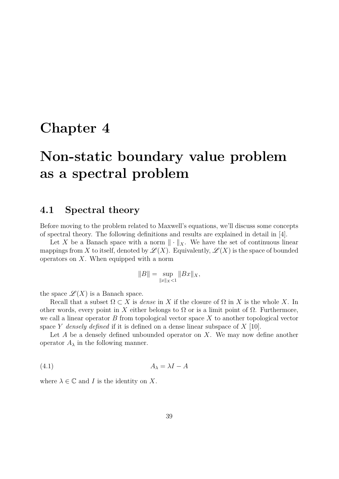## <span id="page-40-0"></span>**Chapter 4**

# **Non-static boundary value problem as a spectral problem**

### <span id="page-40-1"></span>**4.1 Spectral theory**

Before moving to the problem related to Maxwell's equations, we'll discuss some concepts of spectral theory. The following definitions and results are explained in detail in [\[4\]](#page-51-3).

Let X be a Banach space with a norm  $\|\cdot\|_X$ . We have the set of continuous linear mappings from X to itself, denoted by  $\mathscr{L}(X)$ . Equivalently,  $\mathscr{L}(X)$  is the space of bounded operators on *X*. When equipped with a norm

$$
||B|| = \sup_{||x||_X < 1} ||Bx||_X,
$$

the space  $\mathscr{L}(X)$  is a Banach space.

Recall that a subset  $\Omega \subset X$  is *dense* in X if the closure of  $\Omega$  in X is the whole X. In other words, every point in X either belongs to  $\Omega$  or is a limit point of  $\Omega$ . Furthermore, we call a linear operator *B* from topological vector space *X* to another topological vector space *Y densely defined* if it is defined on a dense linear subspace of *X* [\[10\]](#page-51-7).

Let *A* be a densely defined unbounded operator on *X*. We may now define another operator  $A_{\lambda}$  in the following manner.

$$
(4.1) \t\t A_{\lambda} = \lambda I - A
$$

where  $\lambda \in \mathbb{C}$  and *I* is the identity on *X*.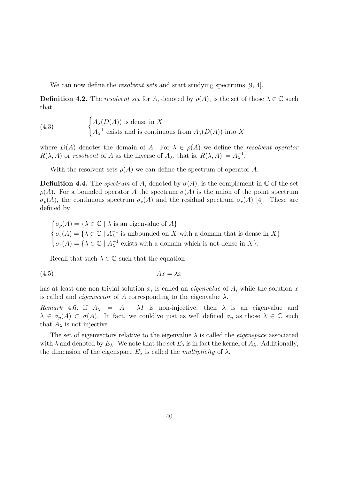We can now define the *resolvent sets* and start studying spectrums [\[9,](#page-51-0) [4\]](#page-51-3).

**Definition 4.2.** The *resolvent set* for *A*, denoted by  $\rho(A)$ , is the set of those  $\lambda \in \mathbb{C}$  such that

(4.3) 
$$
\begin{cases} A_{\lambda}(D(A)) \text{ is dense in } X \\ A_{\lambda}^{-1} \text{ exists and is continuous from } A_{\lambda}(D(A)) \text{ into } X \end{cases}
$$

where  $D(A)$  denotes the domain of *A*. For  $\lambda \in \rho(A)$  we define the *resolvent operator*  $R(\lambda, A)$  or *resolvent* of *A* as the inverse of  $A_{\lambda}$ , that is,  $R(\lambda, A) \coloneqq A_{\lambda}^{-1}$ .

With the resolvent sets  $\rho(A)$  we can define the spectrum of operator A.

**Definition 4.4.** The *spectrum* of *A*, denoted by  $\sigma(A)$ , is the complement in  $\mathbb C$  of the set  $\rho(A)$ . For a bounded operator *A* the spectrum  $\sigma(A)$  is the union of the point spectrum  $\sigma_p(A)$ , the continuous spectrum  $\sigma_c(A)$  and the residual spectrum  $\sigma_r(A)$  [\[4\]](#page-51-3). These are defined by

 $\sqrt{ }$  $\int$  $\overline{\mathcal{L}}$  $\sigma_p(A) = \{ \lambda \in \mathbb{C} \mid \lambda \text{ is an eigenvalue of } A \}$  $\sigma_c(A) = \{ \lambda \in \mathbb{C} \mid A_{\lambda}^{-1} \text{ is unbounded on } X \text{ with a domain that is dense in } X \}$  $\sigma_r(A) = \{ \lambda \in \mathbb{C} \mid A_{\lambda}^{-1} \text{ exists with a domain which is not dense in } X \}.$ 

Recall that such  $\lambda \in \mathbb{C}$  such that the equation

$$
(4.5) \t\t Ax = \lambda x
$$

has at least one non-trivial solution *x*, is called an *eigenvalue* of *A*, while the solution *x* is called and *eigenvector* of *A* corresponding to the eigenvalue  $\lambda$ .

*Remark* 4.6*.* If  $A_{\lambda} = A - \lambda I$  is non-injective, then  $\lambda$  is an eigenvalue and  $\lambda \in \sigma_p(A) \subset \sigma(A)$ . In fact, we could've just as well defined  $\sigma_p$  as those  $\lambda \in \mathbb{C}$  such that  $A_\lambda$  is not injective.

The set of eigenvectors relative to the eigenvalue  $\lambda$  is called the *eigenspace* associated with  $\lambda$  and denoted by  $E_{\lambda}$ . We note that the set  $E_{\lambda}$  is in fact the kernel of  $A_{\lambda}$ . Additionally, the dimension of the eigenspace  $E_{\lambda}$  is called the *multiplicity* of  $\lambda$ .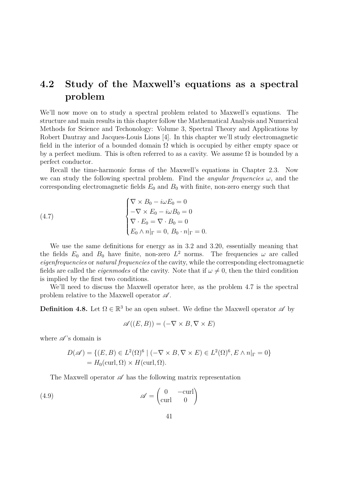### <span id="page-42-0"></span>**4.2 Study of the Maxwell's equations as a spectral problem**

We'll now move on to study a spectral problem related to Maxwell's equations. The structure and main results in this chapter follow the Mathematical Analysis and Numerical Methods for Science and Techonology: Volume 3, Spectral Theory and Applications by Robert Dautray and Jacques-Louis Lions [\[4\]](#page-51-3). In this chapter we'll study electromagnetic field in the interior of a bounded domain  $\Omega$  which is occupied by either empty space or by a perfect medium. This is often referred to as a cavity. We assume  $\Omega$  is bounded by a perfect conductor.

Recall the time-harmonic forms of the Maxwell's equations in Chapter [2.3.](#page-24-0) Now we can study the following spectral problem. Find the *angular frequencies ω*, and the corresponding electromagnetic fields  $E_0$  and  $B_0$  with finite, non-zero energy such that

<span id="page-42-1"></span>(4.7) 
$$
\begin{cases} \nabla \times B_0 - i\omega E_0 = 0 \\ -\nabla \times E_0 - i\omega B_0 = 0 \\ \nabla \cdot E_0 = \nabla \cdot B_0 = 0 \\ E_0 \wedge n|_{\Gamma} = 0, B_0 \cdot n|_{\Gamma} = 0. \end{cases}
$$

We use the same definitions for energy as in [3.2](#page-26-0) and [3.20,](#page-32-2) essentially meaning that the fields  $E_0$  and  $B_0$  have finite, non-zero  $L^2$  norms. The frequencies  $\omega$  are called *eigenfrequencies* or *natural frequencies* of the cavity, while the corresponding electromagnetic fields are called the *eigenmodes* of the cavity. Note that if  $\omega \neq 0$ , then the third condition is implied by the first two conditions.

We'll need to discuss the Maxwell operator here, as the problem [4.7](#page-42-1) is the spectral problem relative to the Maxwell operator  $\mathscr A$ .

**Definition 4.8.** Let  $\Omega \in \mathbb{R}^3$  be an open subset. We define the Maxwell operator  $\mathscr{A}$  by

$$
\mathscr{A}((E,B)) = (-\nabla \times B, \nabla \times E)
$$

where  $\mathscr{A}$ 's domain is

$$
D(\mathscr{A}) = \{ (E, B) \in L^2(\Omega)^6 \mid (-\nabla \times B, \nabla \times E) \in L^2(\Omega)^6, E \wedge n|_{\Gamma} = 0 \}
$$
  
=  $H_0(\text{curl}, \Omega) \times H(\text{curl}, \Omega).$ 

The Maxwell operator  $\mathscr A$  has the following matrix representation

(4.9) 
$$
\mathscr{A} = \begin{pmatrix} 0 & -\text{curl} \\ \text{curl} & 0 \end{pmatrix}
$$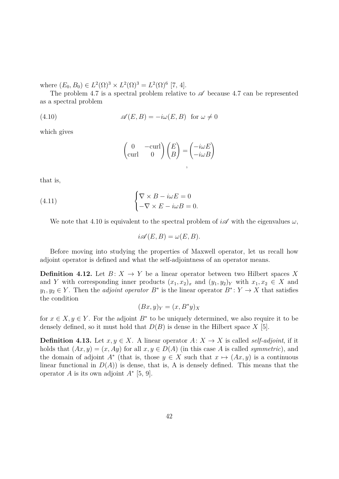where  $(E_0, B_0) \in L^2(\Omega)^3 \times L^2(\Omega)^3 = L^2(\Omega)^6$  [\[7,](#page-51-4) [4\]](#page-51-3).

The problem [4.7](#page-42-1) is a spectral problem relative to  $\mathscr A$  because 4.7 can be represented as a spectral problem

(4.10) 
$$
\mathscr{A}(E,B) = -i\omega(E,B) \text{ for } \omega \neq 0
$$

which gives

<span id="page-43-0"></span>
$$
\begin{pmatrix} 0 & -\text{curl} \\ \text{curl} & 0 \end{pmatrix} \begin{pmatrix} E \\ B \end{pmatrix} = \begin{pmatrix} -i\omega E \\ -i\omega B \end{pmatrix}
$$

that is,

(4.11) 
$$
\begin{cases} \nabla \times B - i\omega E = 0 \\ -\nabla \times E - i\omega B = 0. \end{cases}
$$

We note that [4.10](#page-43-0) is equivalent to the spectral problem of  $i\mathscr{A}$  with the eigenvalues  $\omega$ ,

$$
i\mathscr{A}(E,B) = \omega(E,B).
$$

Before moving into studying the properties of Maxwell operator, let us recall how adjoint operator is defined and what the self-adjointness of an operator means.

**Definition 4.12.** Let  $B: X \to Y$  be a linear operator between two Hilbert spaces X and *Y* with corresponding inner products  $(x_1, x_2)_x$  and  $(y_1, y_2)_Y$  with  $x_1, x_2 \in X$  and  $y_1, y_2 \in Y$ . Then the *adjoint operator*  $B^*$  is the linear operator  $B^*$ :  $Y \to X$  that satisfies the condition

$$
(Bx, y)_Y = (x, B^*y)_X
$$

for  $x \in X, y \in Y$ . For the adjoint  $B^*$  to be uniquely determined, we also require it to be densely defined, so it must hold that  $D(B)$  is dense in the Hilbert space X [\[5\]](#page-51-8).

**Definition 4.13.** Let  $x, y \in X$ . A linear operator  $A: X \to X$  is called *self-adjoint*, if it holds that  $(Ax, y) = (x, Ay)$  for all  $x, y \in D(A)$  (in this case A is called *symmetric*), and the domain of adjoint  $A^*$  (that is, those  $y \in X$  such that  $x \mapsto (Ax, y)$  is a continuous linear functional in  $D(A)$  is dense, that is, A is densely defined. This means that the operator *A* is its own adjoint *A*<sup>∗</sup> [\[5,](#page-51-8) [9\]](#page-51-0).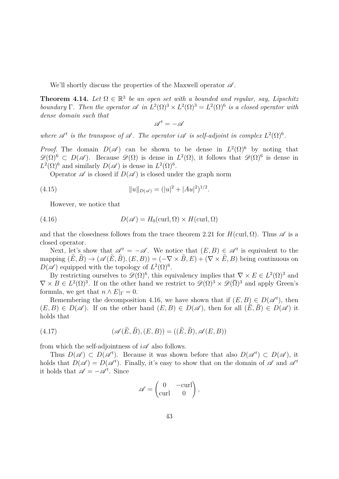We'll shortly discuss the properties of the Maxwell operator  $\mathscr A$ .

**Theorem 4.14.** Let  $\Omega \in \mathbb{R}^3$  be an open set with a bounded and regular, say, Lipschitz *boundary* Γ. Then the operator  $\mathscr A$  *in*  $L^2(\Omega)^3 \times L^2(\Omega)^3 = L^2(\Omega)^6$  *is a closed operator with dense domain such that*

<span id="page-44-1"></span> $\mathscr{A}^{t}=-\mathscr{A}$ 

where  $\mathscr{A}^t$  is the transpose of  $\mathscr{A}$ . The operator  $i\mathscr{A}$  is self-adjoint in complex  $L^2(\Omega)^6$ .

*Proof.* The domain  $D(\mathscr{A})$  can be shown to be dense in  $L^2(\Omega)^6$  by noting that  $\mathscr{D}(\Omega)^6 \subset D(\mathscr{A})$ . Because  $\mathscr{D}(\Omega)$  is dense in  $L^2(\Omega)$ , it follows that  $\mathscr{D}(\Omega)^6$  is dense in  $L^2(\Omega)^6$  and similarly  $D(\mathscr{A})$  is dense in  $L^2(\Omega)^6$ .

Operator  $\mathscr A$  is closed if  $D(\mathscr A)$  is closed under the graph norm

(4.15) 
$$
||u||_{D(\mathscr{A})} = (|u|^2 + |Au|^2)^{1/2}.
$$

<span id="page-44-0"></span>However, we notice that

(4.16) 
$$
D(\mathscr{A}) = H_0(\text{curl}, \Omega) \times H(\text{curl}, \Omega)
$$

and that the closedness follows from the trace theorem [2.21](#page-17-1) for  $H(\text{curl}, \Omega)$ . Thus  $\mathscr A$  is a closed operator.

Next, let's show that  $\mathscr{A}^t = -\mathscr{A}$ . We notice that  $(E, B) \in \mathscr{A}^t$  is equivalent to the mapping  $(\tilde{E}, \tilde{B}) \rightarrow (\mathscr{A}(\tilde{E}, \tilde{B}), (E, B)) = (-\nabla \times \tilde{B}, E) + (\nabla \times \tilde{E}, B)$  being continuous on  $D(\mathscr{A})$  equipped with the topology of  $L^2(\Omega)^6$ .

By restricting ourselves to  $\mathscr{D}(\Omega)^6$ , this equivalency implies that  $\nabla \times E \in L^2(\Omega)^3$  and  $\nabla \times B \in L^2(\Omega)^3$ . If on the other hand we restrict to  $\mathscr{D}(\Omega)^3 \times \mathscr{D}(\overline{\Omega})^3$  and apply Green's formula, we get that  $n \wedge E|_{\Gamma} = 0$ .

Remembering the decomposition [4.16,](#page-44-0) we have shown that if  $(E, B) \in D(\mathscr{A}^t)$ , then  $(E, B) \in D(\mathscr{A})$ . If on the other hand  $(E, B) \in D(\mathscr{A})$ , then for all  $(E, B) \in D(\mathscr{A})$  it holds that

$$
(4.17) \qquad (\mathscr{A}(E,B), (E,B)) = ((E,B), \mathscr{A}(E,B))
$$

from which the self-adjointness of  $i\mathscr{A}$  also follows.

Thus  $D(\mathscr{A}) \subset D(\mathscr{A}^t)$ . Because it was shown before that also  $D(\mathscr{A}^t) \subset D(\mathscr{A})$ , it holds that  $D(\mathscr{A}) = D(\mathscr{A}^t)$ . Finally, it's easy to show that on the domain of  $\mathscr{A}$  and  $\mathscr{A}^t$ it holds that  $\mathscr{A} = -\mathscr{A}^t$ . Since

$$
\mathscr{A} = \begin{pmatrix} 0 & -\text{curl} \\ \text{curl} & 0 \end{pmatrix},
$$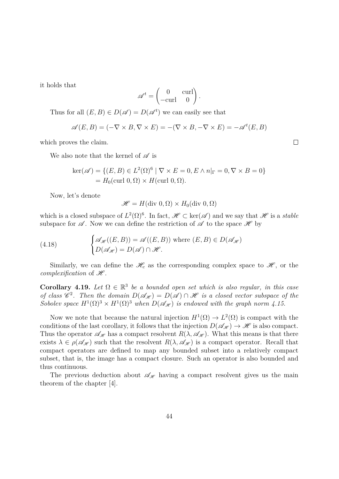it holds that

$$
\mathscr{A}^t = \begin{pmatrix} 0 & \text{curl} \\ -\text{curl} & 0 \end{pmatrix}.
$$

Thus for all  $(E, B) \in D(\mathscr{A}) = D(\mathscr{A}^t)$  we can easily see that

$$
\mathscr{A}(E, B) = (-\nabla \times B, \nabla \times E) = -(\nabla \times B, -\nabla \times E) = -\mathscr{A}^t(E, B)
$$

which proves the claim.

We also note that the kernel of  $\mathscr A$  is

$$
\ker(\mathscr{A}) = \{ (E, B) \in L^2(\Omega)^6 \mid \nabla \times E = 0, E \wedge n|_{\Gamma} = 0, \nabla \times B = 0 \}
$$

$$
= H_0(\text{curl } 0, \Omega) \times H(\text{curl } 0, \Omega).
$$

Now, let's denote

$$
\mathscr{H} = H(\text{div } 0, \Omega) \times H_0(\text{div } 0, \Omega)
$$

which is a closed subspace of  $L^2(\Omega)^6$ . In fact,  $\mathscr{H} \subset \text{ker}(\mathscr{A})$  and we say that  $\mathscr{H}$  is a *stable* subspace for  $\mathscr A$ . Now we can define the restriction of  $\mathscr A$  to the space  $\mathscr H$  by

(4.18) 
$$
\begin{cases} \mathcal{A}_{\mathscr{H}}((E,B)) = \mathcal{A}((E,B)) \text{ where } (E,B) \in D(\mathcal{A}_{\mathscr{H}}) \\ D(\mathcal{A}_{\mathscr{H}}) = D(\mathcal{A}) \cap \mathcal{H}. \end{cases}
$$

Similarly, we can define the  $\mathcal{H}_c$  as the corresponding complex space to  $\mathcal{H}$ , or the *complexification* of  $\mathcal{H}$ .

**Corollary 4.19.** Let  $\Omega \in \mathbb{R}^3$  be a bounded open set which is also regular, in this case *of class*  $\mathscr{C}^2$ . Then the domain  $D(\mathscr{A}_{\mathscr{H}}) = D(\mathscr{A}) \cap \mathscr{H}$  is a closed vector subspace of the Sobolev space  $H^1(\Omega)^3 \times H^1(\Omega)^3$  when  $D(\mathscr{A}_{\mathscr{H}})$  is endowed with the graph norm [4.15.](#page-44-1)

Now we note that because the natural injection  $H^1(\Omega) \to L^2(\Omega)$  is compact with the conditions of the last corollary, it follows that the injection  $D(\mathscr{A}_{\mathscr{H}}) \to \mathscr{H}$  is also compact. Thus the operator  $\mathscr{A}_{\mathscr{H}}$  has a compact resolvent  $R(\lambda, \mathscr{A}_{\mathscr{H}})$ . What this means is that there exists  $\lambda \in \rho(\mathscr{A}_{\mathscr{H}})$  such that the resolvent  $R(\lambda, \mathscr{A}_{\mathscr{H}})$  is a compact operator. Recall that compact operators are defined to map any bounded subset into a relatively compact subset, that is, the image has a compact closure. Such an operator is also bounded and thus continuous.

The previous deduction about  $\mathscr{A}_{\mathscr{H}}$  having a compact resolvent gives us the main theorem of the chapter [\[4\]](#page-51-3).

 $\Box$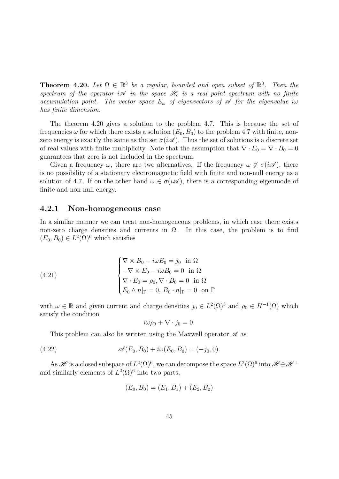<span id="page-46-1"></span>**Theorem 4.20.** Let  $\Omega \in \mathbb{R}^3$  be a regular, bounded and open subset of  $\mathbb{R}^3$ . Then the spectrum of the operator  $i\mathscr{A}$  *in the space*  $\mathscr{H}_c$  *is a real point spectrum with no finite accumulation point.* The vector space  $E_\omega$  of eigenvectors of  $\mathscr A$  for the eigenvalue i $\omega$ *has finite dimension.*

The theorem [4.20](#page-46-1) gives a solution to the problem [4.7.](#page-42-1) This is because the set of frequencies  $\omega$  for which there exists a solution  $(E_0, B_0)$  to the problem [4.7](#page-42-1) with finite, nonzero energy is exactly the same as the set  $\sigma(i\mathscr{A})$ . Thus the set of solutions is a discrete set of real values with finite multiplicity. Note that the assumption that  $\nabla \cdot E_0 = \nabla \cdot B_0 = 0$ guarantees that zero is not included in the spectrum.

Given a frequency  $\omega$ , there are two alternatives. If the frequency  $\omega \notin \sigma(i\mathscr{A})$ , there is no possibility of a stationary electromagnetic field with finite and non-null energy as a solution of [4.7.](#page-42-1) If on the other hand  $\omega \in \sigma(i\mathscr{A})$ , there is a corresponding eigenmode of finite and non-null energy.

#### <span id="page-46-0"></span>**4.2.1 Non-homogeneous case**

In a similar manner we can treat non-homogeneous problems, in which case there exists non-zero charge densities and currents in  $\Omega$ . In this case, the problem is to find  $(E_0, B_0) \in L^2(\Omega)$ <sup>6</sup> which satisfies

(4.21) 
$$
\begin{cases} \nabla \times B_0 - i\omega E_0 = j_0 \text{ in } \Omega \\ -\nabla \times E_0 - i\omega B_0 = 0 \text{ in } \Omega \\ \nabla \cdot E_0 = \rho_0, \nabla \cdot B_0 = 0 \text{ in } \Omega \\ E_0 \wedge n|_{\Gamma} = 0, B_0 \cdot n|_{\Gamma} = 0 \text{ on } \Gamma \end{cases}
$$

with  $\omega \in \mathbb{R}$  and given current and charge densities  $j_0 \in L^2(\Omega)^3$  and  $\rho_0 \in H^{-1}(\Omega)$  which satisfy the condition

<span id="page-46-2"></span>
$$
i\omega \rho_0 + \nabla \cdot j_0 = 0.
$$

This problem can also be written using the Maxwell operator  $\mathscr A$  as

(4.22) 
$$
\mathscr{A}(E_0, B_0) + i\omega(E_0, B_0) = (-j_0, 0).
$$

As  $\mathscr H$  is a closed subspace of  $L^2(\Omega)^6,$  we can decompose the space  $L^2(\Omega)^6$  into  $\mathscr H\oplus\mathscr H^\perp$ and similarly elements of  $L^2(\Omega)^6$  into two parts,

$$
(E_0, B_0) = (E_1, B_1) + (E_2, B_2)
$$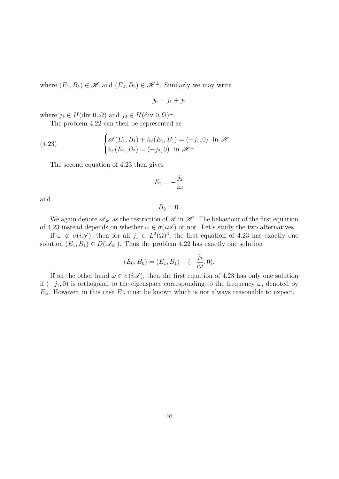where  $(E_1, B_1) \in \mathcal{H}$  and  $(E_2, B_2) \in \mathcal{H}^{\perp}$ . Similarly we may write

$$
j_0 = j_1 + j_2
$$

where  $j_1 \in H(\text{div } 0, \Omega)$  and  $j_2 \in H(\text{div } 0, \Omega)^{\perp}$ .

<span id="page-47-0"></span>The problem [4.22](#page-46-2) can then be represented as

(4.23) 
$$
\begin{cases} \mathscr{A}(E_1, B_1) + i\omega(E_1, B_1) = (-j_1, 0) & \text{in } \mathscr{H} \\ i\omega(E_2, B_2) = (-j_2, 0) & \text{in } \mathscr{H}^\perp \end{cases}
$$

The second equation of [4.23](#page-47-0) then gives

$$
E_2 = -\frac{j_2}{i\omega}
$$

and

$$
B_2=0.
$$

We again denote  $\mathscr{A}_{\mathscr{H}}$  as the restriction of  $\mathscr{A}$  in  $\mathscr{H}$ . The behaviour of the first equation of [4.23](#page-47-0) instead depends on whether  $\omega \in \sigma(i\mathscr{A})$  or not. Let's study the two alternatives.

If  $\omega \notin \sigma(i\mathscr{A})$ , then for all  $j_1 \in L^2(\Omega)^3$ , the first equation of [4.23](#page-47-0) has exactly one solution  $(E_1, B_1) \in D(\mathscr{A}_{\mathscr{H}})$ . Thus the problem [4.22](#page-46-2) has exactly one solution

$$
(E_0, B_0) = (E_1, B_1) + (-\frac{j_2}{i\omega}, 0).
$$

If on the other hand  $\omega \in \sigma(i\mathscr{A})$ , then the first equation of [4.23](#page-47-0) has only one solution if  $(-j_1, 0)$  is orthogonal to the eigenspace corresponding to the frequency  $\omega$ , denoted by  $E_\omega$ . However, in this case  $E_\omega$  must be known which is not always reasonable to expect.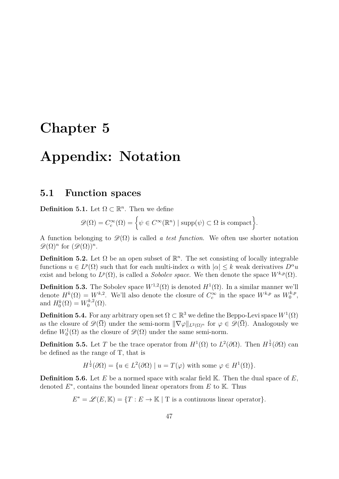## <span id="page-48-0"></span>**Chapter 5**

## **Appendix: Notation**

### <span id="page-48-1"></span>**5.1 Function spaces**

**Definition 5.1.** Let  $\Omega \subset \mathbb{R}^n$ . Then we define

$$
\mathscr{D}(\Omega) = C_c^{\infty}(\Omega) = \left\{ \psi \in C^{\infty}(\mathbb{R}^n) \mid \text{supp}(\psi) \subset \Omega \text{ is compact} \right\}.
$$

A function belonging to  $\mathscr{D}(\Omega)$  is called *a test function*. We often use shorter notation  $\mathscr{D}(\Omega)^n$  for  $(\mathscr{D}(\Omega))^n$ .

**Definition 5.2.** Let  $\Omega$  be an open subset of  $\mathbb{R}^n$ . The set consisting of locally integrable functions  $u \in L^p(\Omega)$  such that for each multi-index  $\alpha$  with  $|\alpha| \leq k$  weak derivatives  $D^{\alpha}u$ exist and belong to  $L^p(\Omega)$ , is called a *Sobolev space*. We then denote the space  $W^{k,p}(\Omega)$ .

**Definition 5.3.** The Sobolev space  $W^{1,2}(\Omega)$  is denoted  $H^1(\Omega)$ . In a similar manner we'll denote  $H^k(\Omega) = W^{k,2}$ . We'll also denote the closure of  $C_c^{\infty}$  in the space  $W^{k,p}$  as  $W_0^{k,p}$  $\begin{array}{c} \n\frac{\kappa}{p},\n\end{array}$ and  $H_0^k(\Omega) = W_0^{k,2}$  $\binom{k}{0}^k(\Omega).$ 

**Definition 5.4.** For any arbitrary open set  $\Omega \subset \mathbb{R}^3$  we define the Beppo-Levi space  $W^1(\Omega)$ as the closure of  $\mathscr{D}(\overline{\Omega})$  under the semi-norm  $\|\nabla \varphi\|_{L^2(\Omega)^n}$  for  $\varphi \in \mathscr{D}(\overline{\Omega})$ . Analogously we define  $W_0^1(\Omega)$  as the closure of  $\mathscr{D}(\Omega)$  under the same semi-norm.

**Definition 5.5.** Let *T* be the trace operator from  $H^1(\Omega)$  to  $L^2(\partial\Omega)$ . Then  $H^{\frac{1}{2}}(\partial\Omega)$  can be defined as the range of T, that is

$$
H^{\frac{1}{2}}(\partial\Omega) = \{ u \in L^{2}(\partial\Omega) \mid u = T(\varphi) \text{ with some } \varphi \in H^{1}(\Omega) \}.
$$

**Definition 5.6.** Let *E* be a normed space with scalar field K. Then the dual space of *E*, denoted  $E^*$ , contains the bounded linear operators from  $E$  to  $\mathbb{K}$ . Thus

 $E^* = \mathscr{L}(E, \mathbb{K}) = \{T : E \to \mathbb{K} \mid T \text{ is a continuous linear operator}\}.$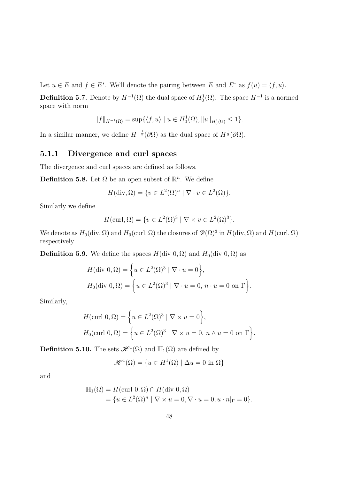Let  $u \in E$  and  $f \in E^*$ . We'll denote the pairing between *E* and  $E^*$  as  $f(u) = \langle f, u \rangle$ .

**Definition 5.7.** Denote by  $H^{-1}(\Omega)$  the dual space of  $H_0^1(\Omega)$ . The space  $H^{-1}$  is a normed space with norm

$$
||f||_{H^{-1}(\Omega)} = \sup \{ \langle f, u \rangle \mid u \in H_0^1(\Omega), ||u||_{H_0^1(\Omega)} \le 1 \}.
$$

In a similar manner, we define  $H^{-\frac{1}{2}}(\partial\Omega)$  as the dual space of  $H^{\frac{1}{2}}(\partial\Omega)$ .

### <span id="page-49-0"></span>**5.1.1 Divergence and curl spaces**

The divergence and curl spaces are defined as follows.

**Definition 5.8.** Let  $\Omega$  be an open subset of  $\mathbb{R}^n$ . We define

$$
H(\operatorname{div}, \Omega) = \{ v \in L^2(\Omega)^n \mid \nabla \cdot v \in L^2(\Omega) \}.
$$

Similarly we define

$$
H(\operatorname{curl}, \Omega) = \{ v \in L^{2}(\Omega)^{3} \mid \nabla \times v \in L^{2}(\Omega)^{3} \}.
$$

We denote as  $H_0(\text{div}, \Omega)$  and  $H_0(\text{curl}, \Omega)$  the closures of  $\mathscr{D}(\Omega)^3$  in  $H(\text{div}, \Omega)$  and  $H(\text{curl}, \Omega)$ respectively.

**Definition 5.9.** We define the spaces  $H$ (div 0*,* Ω) and  $H$ <sub>0</sub>(div 0*,* Ω) as

$$
H(\text{div } 0, \Omega) = \left\{ u \in L^{2}(\Omega)^{3} \mid \nabla \cdot u = 0 \right\},
$$
  

$$
H_{0}(\text{div } 0, \Omega) = \left\{ u \in L^{2}(\Omega)^{3} \mid \nabla \cdot u = 0, n \cdot u = 0 \text{ on } \Gamma \right\}.
$$

Similarly,

$$
H(\text{curl } 0, \Omega) = \left\{ u \in L^2(\Omega)^3 \mid \nabla \times u = 0 \right\},\
$$
  

$$
H_0(\text{curl } 0, \Omega) = \left\{ u \in L^2(\Omega)^3 \mid \nabla \times u = 0, \ n \wedge u = 0 \text{ on } \Gamma \right\}.
$$

**Definition 5.10.** The sets  $\mathscr{H}^1(\Omega)$  and  $\mathbb{H}_1(\Omega)$  are defined by

$$
\mathcal{H}^1(\Omega) = \{ u \in H^1(\Omega) \mid \Delta u = 0 \text{ in } \Omega \}
$$

and

$$
\mathbb{H}_1(\Omega) = H(\text{curl } 0, \Omega) \cap H(\text{div } 0, \Omega)
$$
  
=  $\{u \in L^2(\Omega)^n \mid \nabla \times u = 0, \nabla \cdot u = 0, u \cdot n|_{\Gamma} = 0\}.$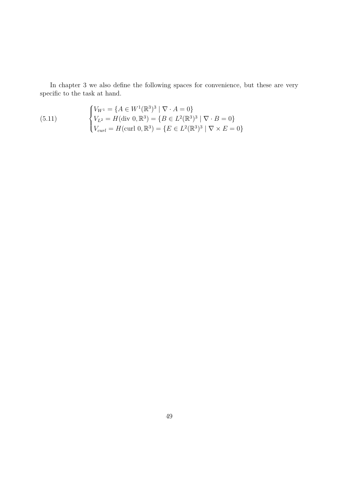In chapter [3](#page-25-0) we also define the following spaces for convenience, but these are very specific to the task at hand.

(5.11) 
$$
\begin{cases} V_{W^1} = \{ A \in W^1(\mathbb{R}^3)^3 \mid \nabla \cdot A = 0 \} \\ V_{L^2} = H(\text{div } 0, \mathbb{R}^3) = \{ B \in L^2(\mathbb{R}^3)^3 \mid \nabla \cdot B = 0 \} \\ V_{curl} = H(\text{curl } 0, \mathbb{R}^3) = \{ E \in L^2(\mathbb{R}^3)^3 \mid \nabla \times E = 0 \} \end{cases}
$$